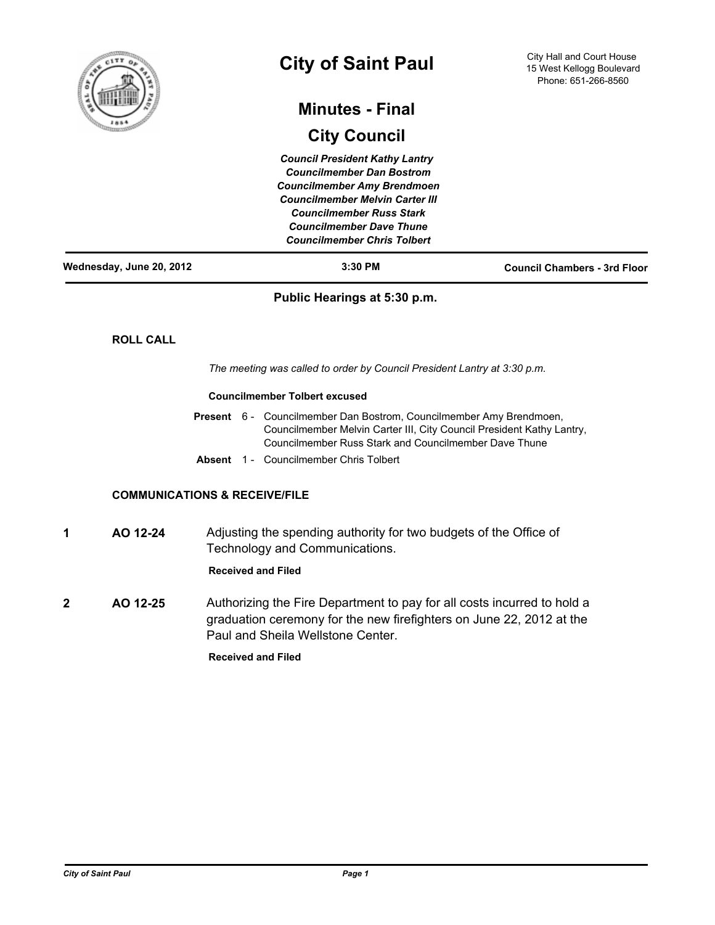

# **City of Saint Paul**

# **Minutes - Final**

# **City Council**

*Council President Kathy Lantry Councilmember Dan Bostrom Councilmember Amy Brendmoen Councilmember Melvin Carter III Councilmember Russ Stark Councilmember Dave Thune Councilmember Chris Tolbert*

| City Hall and Court House |
|---------------------------|
| 15 West Kellogg Boulevard |
| Phone: 651-266-8560       |

| Wednesday, June 20, 2012 | 3:30 PM | <b>Council Chambers - 3rd Floor</b> |
|--------------------------|---------|-------------------------------------|
|                          |         |                                     |

# **Public Hearings at 5:30 p.m.**

# **ROLL CALL**

*The meeting was called to order by Council President Lantry at 3:30 p.m.*

### **Councilmember Tolbert excused**

|  | <b>Present</b> 6 - Councilmember Dan Bostrom, Councilmember Amy Brendmoen, |
|--|----------------------------------------------------------------------------|
|  | Councilmember Melvin Carter III, City Council President Kathy Lantry,      |
|  | Councilmember Russ Stark and Councilmember Dave Thune                      |
|  |                                                                            |

**Absent** 1 - Councilmember Chris Tolbert

# **COMMUNICATIONS & RECEIVE/FILE**

**1 AO 12-24** Adjusting the spending authority for two budgets of the Office of Technology and Communications.

# **Received and Filed**

**2 AO 12-25** Authorizing the Fire Department to pay for all costs incurred to hold a graduation ceremony for the new firefighters on June 22, 2012 at the Paul and Sheila Wellstone Center.

# **Received and Filed**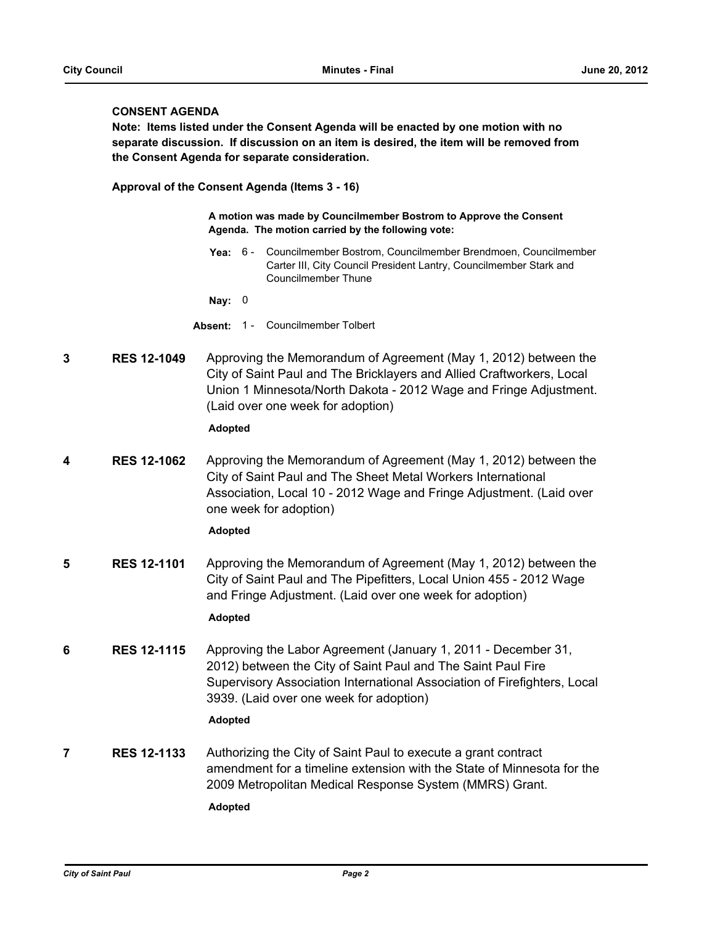## **CONSENT AGENDA**

**Note: Items listed under the Consent Agenda will be enacted by one motion with no separate discussion. If discussion on an item is desired, the item will be removed from the Consent Agenda for separate consideration.**

**Approval of the Consent Agenda (Items 3 - 16)**

**A motion was made by Councilmember Bostrom to Approve the Consent Agenda. The motion carried by the following vote:**

Yea: 6 - Councilmember Bostrom, Councilmember Brendmoen, Councilmember Carter III, City Council President Lantry, Councilmember Stark and Councilmember Thune

**Nay:** 0

**Absent:** 1 - Councilmember Tolbert

**3 RES 12-1049** Approving the Memorandum of Agreement (May 1, 2012) between the City of Saint Paul and The Bricklayers and Allied Craftworkers, Local Union 1 Minnesota/North Dakota - 2012 Wage and Fringe Adjustment. (Laid over one week for adoption)

### **Adopted**

**4 RES 12-1062** Approving the Memorandum of Agreement (May 1, 2012) between the City of Saint Paul and The Sheet Metal Workers International Association, Local 10 - 2012 Wage and Fringe Adjustment. (Laid over one week for adoption)

# **Adopted**

**5 RES 12-1101** Approving the Memorandum of Agreement (May 1, 2012) between the City of Saint Paul and The Pipefitters, Local Union 455 - 2012 Wage and Fringe Adjustment. (Laid over one week for adoption)

# **Adopted**

**6 RES 12-1115** Approving the Labor Agreement (January 1, 2011 - December 31, 2012) between the City of Saint Paul and The Saint Paul Fire Supervisory Association International Association of Firefighters, Local 3939. (Laid over one week for adoption)

# **Adopted**

**7 RES 12-1133** Authorizing the City of Saint Paul to execute a grant contract amendment for a timeline extension with the State of Minnesota for the 2009 Metropolitan Medical Response System (MMRS) Grant.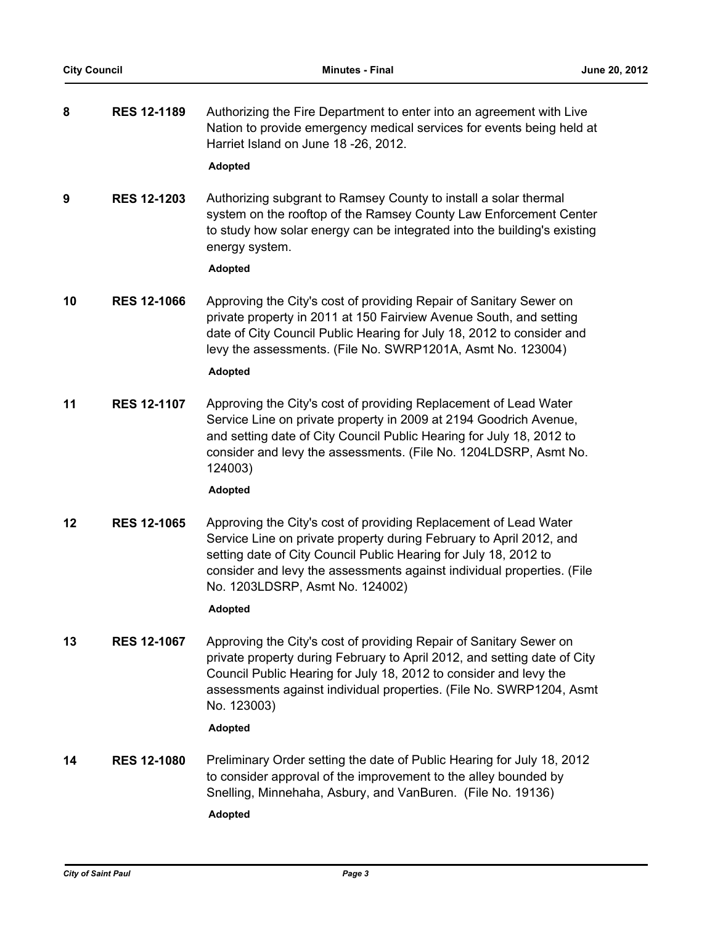| 8 | <b>RES 12-1189</b> | Authorizing the Fire Department to enter into an agreement with Live  |
|---|--------------------|-----------------------------------------------------------------------|
|   |                    | Nation to provide emergency medical services for events being held at |
|   |                    | Harriet Island on June 18 -26, 2012.                                  |

**Adopted**

**9 RES 12-1203** Authorizing subgrant to Ramsey County to install a solar thermal system on the rooftop of the Ramsey County Law Enforcement Center to study how solar energy can be integrated into the building's existing energy system.

**Adopted**

**10 RES 12-1066** Approving the City's cost of providing Repair of Sanitary Sewer on private property in 2011 at 150 Fairview Avenue South, and setting date of City Council Public Hearing for July 18, 2012 to consider and levy the assessments. (File No. SWRP1201A, Asmt No. 123004)

# **Adopted**

**11 RES 12-1107** Approving the City's cost of providing Replacement of Lead Water Service Line on private property in 2009 at 2194 Goodrich Avenue, and setting date of City Council Public Hearing for July 18, 2012 to consider and levy the assessments. (File No. 1204LDSRP, Asmt No. 124003)

### **Adopted**

**12 RES 12-1065** Approving the City's cost of providing Replacement of Lead Water Service Line on private property during February to April 2012, and setting date of City Council Public Hearing for July 18, 2012 to consider and levy the assessments against individual properties. (File No. 1203LDSRP, Asmt No. 124002)

### **Adopted**

**13 RES 12-1067** Approving the City's cost of providing Repair of Sanitary Sewer on private property during February to April 2012, and setting date of City Council Public Hearing for July 18, 2012 to consider and levy the assessments against individual properties. (File No. SWRP1204, Asmt No. 123003)

# **Adopted**

**14 RES 12-1080** Preliminary Order setting the date of Public Hearing for July 18, 2012 to consider approval of the improvement to the alley bounded by Snelling, Minnehaha, Asbury, and VanBuren. (File No. 19136) **Adopted**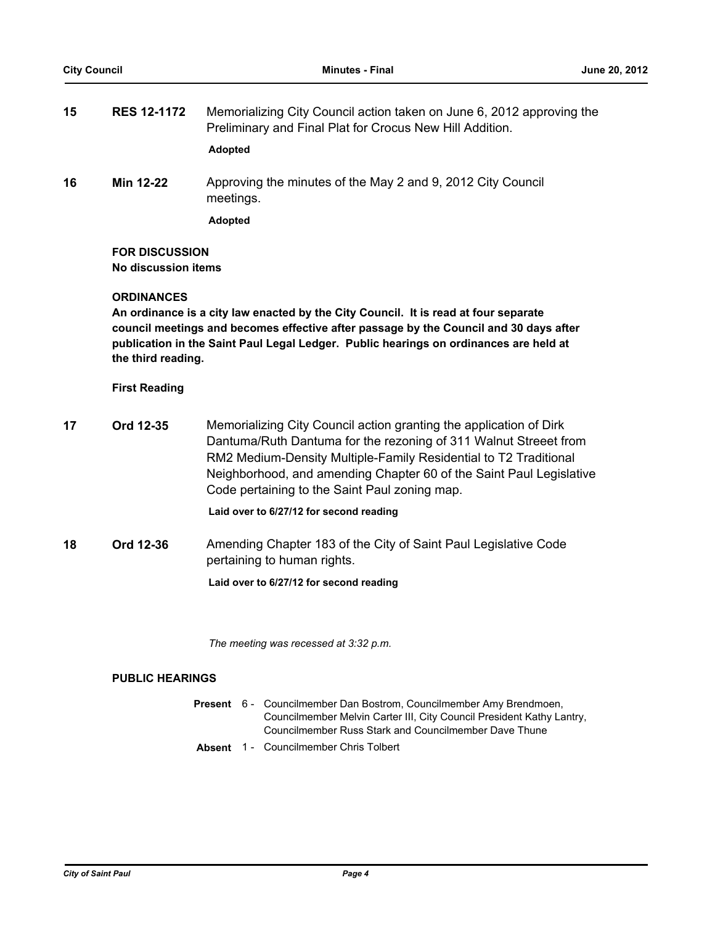| 15 | <b>RES 12-1172</b>                           | Memorializing City Council action taken on June 6, 2012 approving the<br>Preliminary and Final Plat for Crocus New Hill Addition.<br><b>Adopted</b>                                                                                                                                                                                |
|----|----------------------------------------------|------------------------------------------------------------------------------------------------------------------------------------------------------------------------------------------------------------------------------------------------------------------------------------------------------------------------------------|
| 16 | Min 12-22                                    | Approving the minutes of the May 2 and 9, 2012 City Council<br>meetings.                                                                                                                                                                                                                                                           |
|    |                                              | Adopted                                                                                                                                                                                                                                                                                                                            |
|    | <b>FOR DISCUSSION</b><br>No discussion items |                                                                                                                                                                                                                                                                                                                                    |
|    | <b>ORDINANCES</b><br>the third reading.      | An ordinance is a city law enacted by the City Council. It is read at four separate<br>council meetings and becomes effective after passage by the Council and 30 days after<br>publication in the Saint Paul Legal Ledger. Public hearings on ordinances are held at                                                              |
|    | <b>First Reading</b>                         |                                                                                                                                                                                                                                                                                                                                    |
| 17 | Ord 12-35                                    | Memorializing City Council action granting the application of Dirk<br>Dantuma/Ruth Dantuma for the rezoning of 311 Walnut Streeet from<br>RM2 Medium-Density Multiple-Family Residential to T2 Traditional<br>Neighborhood, and amending Chapter 60 of the Saint Paul Legislative<br>Code pertaining to the Saint Paul zoning map. |
|    |                                              | Laid over to 6/27/12 for second reading                                                                                                                                                                                                                                                                                            |
| 18 | Ord 12-36                                    | Amending Chapter 183 of the City of Saint Paul Legislative Code<br>pertaining to human rights.                                                                                                                                                                                                                                     |
|    |                                              | Laid over to 6/27/12 for second reading                                                                                                                                                                                                                                                                                            |
|    |                                              |                                                                                                                                                                                                                                                                                                                                    |

*The meeting was recessed at 3:32 p.m.*

# **PUBLIC HEARINGS**

|  | <b>Present</b> 6 - Councilmember Dan Bostrom, Councilmember Amy Brendmoen, |
|--|----------------------------------------------------------------------------|
|  | Councilmember Melvin Carter III, City Council President Kathy Lantry,      |
|  | Councilmember Russ Stark and Councilmember Dave Thune                      |
|  | <b>Absent</b> 1 - Councilmember Chris Tolbert                              |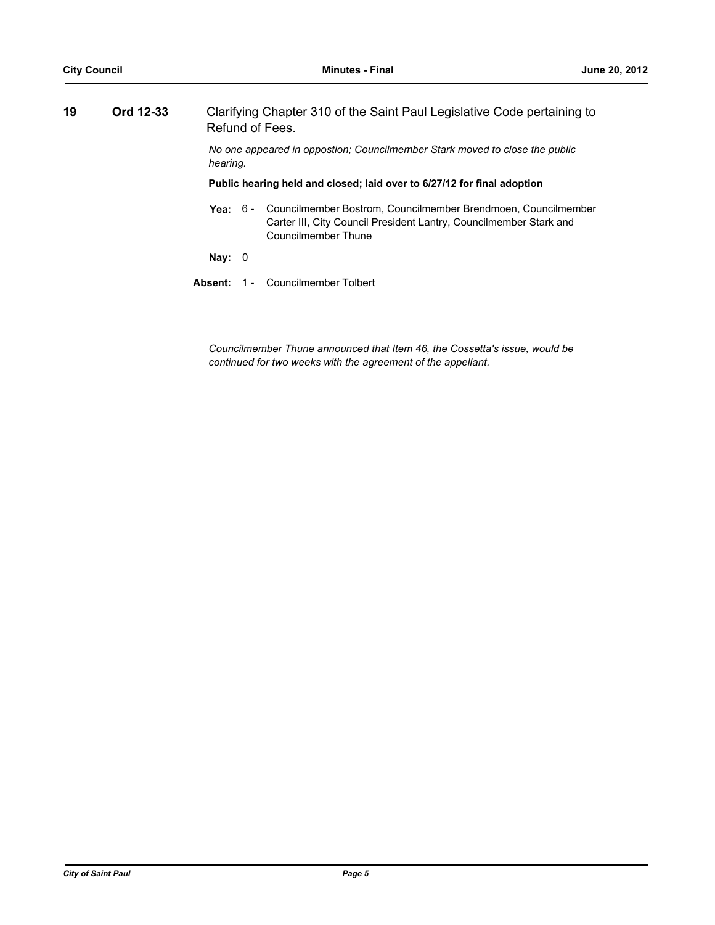| 19 | Ord 12-33 | Clarifying Chapter 310 of the Saint Paul Legislative Code pertaining to<br>Refund of Fees. |  |                                                                                                                                                            |  |  |
|----|-----------|--------------------------------------------------------------------------------------------|--|------------------------------------------------------------------------------------------------------------------------------------------------------------|--|--|
|    |           | No one appeared in oppostion: Councilmember Stark moved to close the public<br>hearing.    |  |                                                                                                                                                            |  |  |
|    |           |                                                                                            |  | Public hearing held and closed; laid over to 6/27/12 for final adoption                                                                                    |  |  |
|    |           | Yea: $6-$                                                                                  |  | Councilmember Bostrom, Councilmember Brendmoen, Councilmember<br>Carter III, City Council President Lantry, Councilmember Stark and<br>Councilmember Thune |  |  |
|    |           | Nay: $0$                                                                                   |  |                                                                                                                                                            |  |  |
|    |           | Absent:                                                                                    |  | 1 - Councilmember Tolbert                                                                                                                                  |  |  |

*Councilmember Thune announced that Item 46, the Cossetta's issue, would be continued for two weeks with the agreement of the appellant.*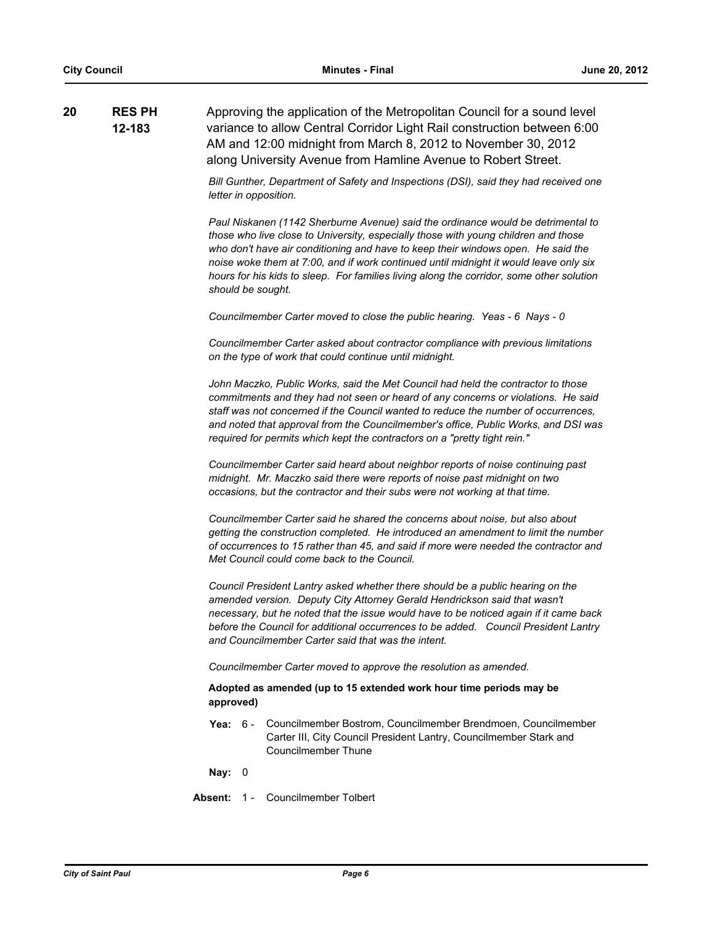| 20 | <b>RES PH</b><br>12-183 | Approving the application of the Metropolitan Council for a sound level<br>variance to allow Central Corridor Light Rail construction between 6:00<br>AM and 12:00 midnight from March 8, 2012 to November 30, 2012<br>along University Avenue from Hamline Avenue to Robert Street.                                                                                                                                                                                                                                                                                                                                                                                                                           |  |  |  |  |  |  |
|----|-------------------------|----------------------------------------------------------------------------------------------------------------------------------------------------------------------------------------------------------------------------------------------------------------------------------------------------------------------------------------------------------------------------------------------------------------------------------------------------------------------------------------------------------------------------------------------------------------------------------------------------------------------------------------------------------------------------------------------------------------|--|--|--|--|--|--|
|    |                         | Bill Gunther, Department of Safety and Inspections (DSI), said they had received one<br>letter in opposition.                                                                                                                                                                                                                                                                                                                                                                                                                                                                                                                                                                                                  |  |  |  |  |  |  |
|    |                         | Paul Niskanen (1142 Sherburne Avenue) said the ordinance would be detrimental to<br>those who live close to University, especially those with young children and those<br>who don't have air conditioning and have to keep their windows open. He said the<br>noise woke them at 7:00, and if work continued until midnight it would leave only six<br>hours for his kids to sleep. For families living along the corridor, some other solution<br>should be sought.                                                                                                                                                                                                                                           |  |  |  |  |  |  |
|    |                         | Councilmember Carter moved to close the public hearing. Yeas - 6 Nays - 0                                                                                                                                                                                                                                                                                                                                                                                                                                                                                                                                                                                                                                      |  |  |  |  |  |  |
|    |                         | Councilmember Carter asked about contractor compliance with previous limitations<br>on the type of work that could continue until midnight.                                                                                                                                                                                                                                                                                                                                                                                                                                                                                                                                                                    |  |  |  |  |  |  |
|    |                         | John Maczko, Public Works, said the Met Council had held the contractor to those<br>commitments and they had not seen or heard of any concerns or violations. He said<br>staff was not concerned if the Council wanted to reduce the number of occurrences,<br>and noted that approval from the Councilmember's office, Public Works, and DSI was<br>required for permits which kept the contractors on a "pretty tight rein."                                                                                                                                                                                                                                                                                 |  |  |  |  |  |  |
|    |                         | Councilmember Carter said heard about neighbor reports of noise continuing past<br>midnight. Mr. Maczko said there were reports of noise past midnight on two<br>occasions, but the contractor and their subs were not working at that time.                                                                                                                                                                                                                                                                                                                                                                                                                                                                   |  |  |  |  |  |  |
|    |                         | Councilmember Carter said he shared the concerns about noise, but also about<br>getting the construction completed. He introduced an amendment to limit the number<br>of occurrences to 15 rather than 45, and said if more were needed the contractor and<br>Met Council could come back to the Council.<br>Council President Lantry asked whether there should be a public hearing on the<br>amended version. Deputy City Attorney Gerald Hendrickson said that wasn't<br>necessary, but he noted that the issue would have to be noticed again if it came back<br>before the Council for additional occurrences to be added. Council President Lantry<br>and Councilmember Carter said that was the intent. |  |  |  |  |  |  |
|    |                         |                                                                                                                                                                                                                                                                                                                                                                                                                                                                                                                                                                                                                                                                                                                |  |  |  |  |  |  |
|    |                         | Councilmember Carter moved to approve the resolution as amended.                                                                                                                                                                                                                                                                                                                                                                                                                                                                                                                                                                                                                                               |  |  |  |  |  |  |
|    |                         | Adopted as amended (up to 15 extended work hour time periods may be<br>approved)                                                                                                                                                                                                                                                                                                                                                                                                                                                                                                                                                                                                                               |  |  |  |  |  |  |
|    |                         | Yea: 6 - Councilmember Bostrom, Councilmember Brendmoen, Councilmember<br>Carter III, City Council President Lantry, Councilmember Stark and<br><b>Councilmember Thune</b>                                                                                                                                                                                                                                                                                                                                                                                                                                                                                                                                     |  |  |  |  |  |  |
|    |                         | Nay: $0$                                                                                                                                                                                                                                                                                                                                                                                                                                                                                                                                                                                                                                                                                                       |  |  |  |  |  |  |
|    |                         | Absent: 1 - Councilmember Tolbert                                                                                                                                                                                                                                                                                                                                                                                                                                                                                                                                                                                                                                                                              |  |  |  |  |  |  |
|    |                         |                                                                                                                                                                                                                                                                                                                                                                                                                                                                                                                                                                                                                                                                                                                |  |  |  |  |  |  |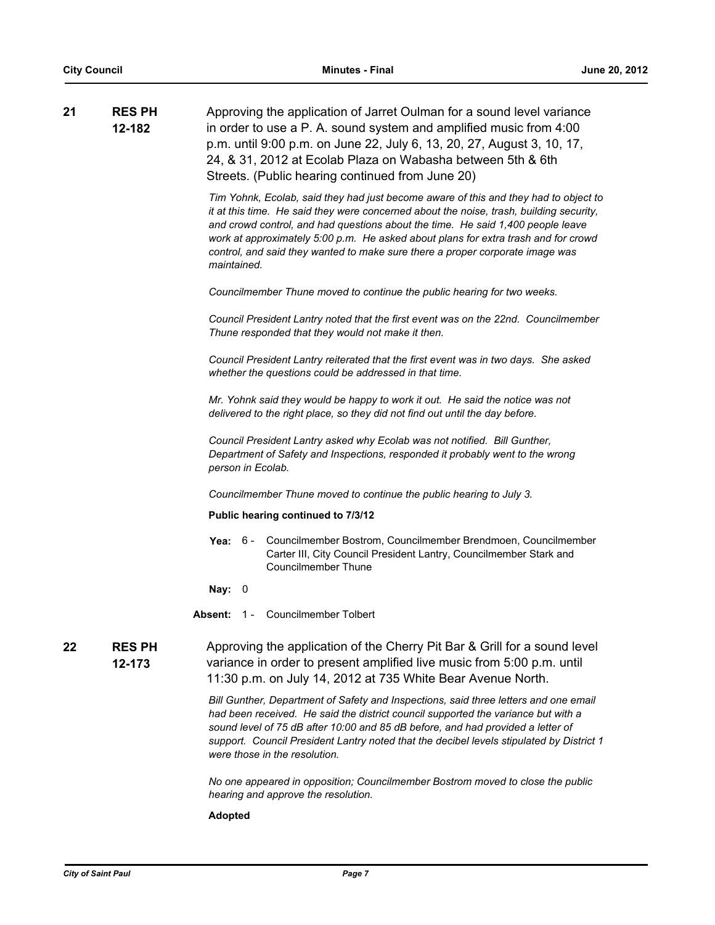| 21 | <b>RES PH</b><br>12-182 |          |                 | Approving the application of Jarret Oulman for a sound level variance<br>in order to use a P. A. sound system and amplified music from 4:00<br>p.m. until 9:00 p.m. on June 22, July 6, 13, 20, 27, August 3, 10, 17,<br>24, & 31, 2012 at Ecolab Plaza on Wabasha between 5th & 6th<br>Streets. (Public hearing continued from June 20)                                                                                                  |
|----|-------------------------|----------|-----------------|-------------------------------------------------------------------------------------------------------------------------------------------------------------------------------------------------------------------------------------------------------------------------------------------------------------------------------------------------------------------------------------------------------------------------------------------|
|    |                         |          | maintained.     | Tim Yohnk, Ecolab, said they had just become aware of this and they had to object to<br>it at this time. He said they were concerned about the noise, trash, building security,<br>and crowd control, and had questions about the time. He said 1,400 people leave<br>work at approximately 5:00 p.m. He asked about plans for extra trash and for crowd<br>control, and said they wanted to make sure there a proper corporate image was |
|    |                         |          |                 | Councilmember Thune moved to continue the public hearing for two weeks.                                                                                                                                                                                                                                                                                                                                                                   |
|    |                         |          |                 | Council President Lantry noted that the first event was on the 22nd. Councilmember<br>Thune responded that they would not make it then.                                                                                                                                                                                                                                                                                                   |
|    |                         |          |                 | Council President Lantry reiterated that the first event was in two days. She asked<br>whether the questions could be addressed in that time.                                                                                                                                                                                                                                                                                             |
|    |                         |          |                 | Mr. Yohnk said they would be happy to work it out. He said the notice was not<br>delivered to the right place, so they did not find out until the day before.                                                                                                                                                                                                                                                                             |
|    |                         |          |                 | Council President Lantry asked why Ecolab was not notified. Bill Gunther,<br>Department of Safety and Inspections, responded it probably went to the wrong<br>person in Ecolab.                                                                                                                                                                                                                                                           |
|    |                         |          |                 | Councilmember Thune moved to continue the public hearing to July 3.                                                                                                                                                                                                                                                                                                                                                                       |
|    |                         |          |                 | Public hearing continued to 7/3/12                                                                                                                                                                                                                                                                                                                                                                                                        |
|    |                         |          | <b>Yea:</b> 6 - | Councilmember Bostrom, Councilmember Brendmoen, Councilmember<br>Carter III, City Council President Lantry, Councilmember Stark and<br>Councilmember Thune                                                                                                                                                                                                                                                                                |
|    |                         | Nay: $0$ |                 |                                                                                                                                                                                                                                                                                                                                                                                                                                           |
|    |                         |          |                 | Absent: 1 - Councilmember Tolbert                                                                                                                                                                                                                                                                                                                                                                                                         |
| 22 | <b>RES PH</b><br>12-173 |          |                 | Approving the application of the Cherry Pit Bar & Grill for a sound level<br>variance in order to present amplified live music from 5:00 p.m. until<br>11:30 p.m. on July 14, 2012 at 735 White Bear Avenue North.                                                                                                                                                                                                                        |
|    |                         |          |                 | Bill Gunther, Department of Safety and Inspections, said three letters and one email<br>had been received. He said the district council supported the variance but with a<br>sound level of 75 dB after 10:00 and 85 dB before, and had provided a letter of<br>support. Council President Lantry noted that the decibel levels stipulated by District 1<br>were those in the resolution.                                                 |
|    |                         |          |                 | No one appeared in opposition: Councilmember Bostrom moved to close the public                                                                                                                                                                                                                                                                                                                                                            |

*No one appeared in opposition; Councilmember Bostrom moved to close the public hearing and approve the resolution.*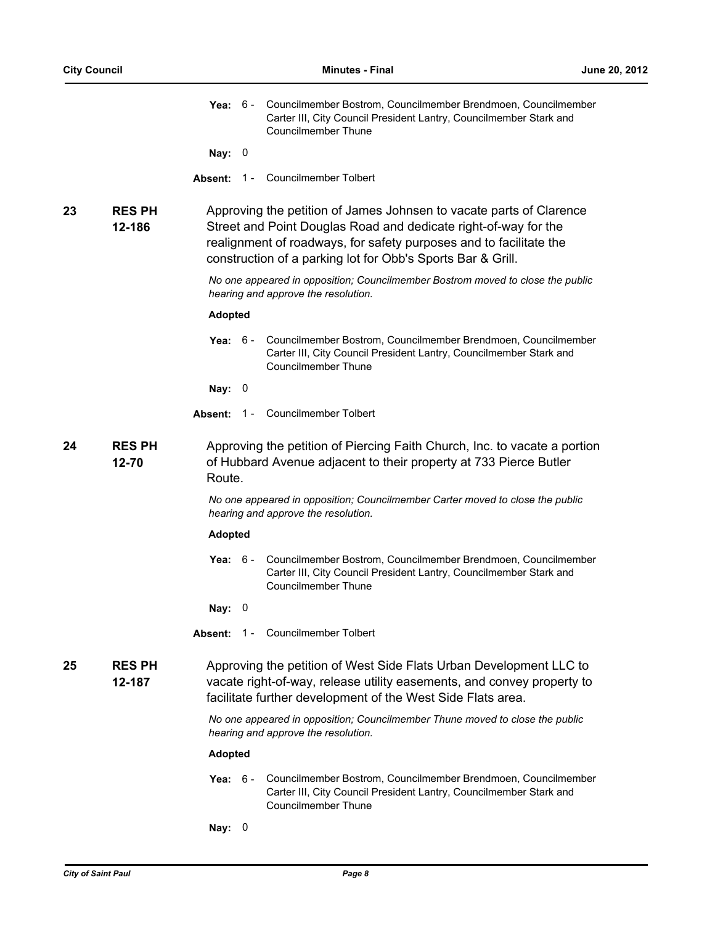|    |                         |                  | Yea: 6 - Councilmember Bostrom, Councilmember Brendmoen, Councilmember<br>Carter III, City Council President Lantry, Councilmember Stark and<br>Councilmember Thune                                                                                                         |
|----|-------------------------|------------------|-----------------------------------------------------------------------------------------------------------------------------------------------------------------------------------------------------------------------------------------------------------------------------|
|    |                         | Nay: $0$         |                                                                                                                                                                                                                                                                             |
|    |                         | Absent:<br>$1 -$ | Councilmember Tolbert                                                                                                                                                                                                                                                       |
| 23 | <b>RES PH</b><br>12-186 |                  | Approving the petition of James Johnsen to vacate parts of Clarence<br>Street and Point Douglas Road and dedicate right-of-way for the<br>realignment of roadways, for safety purposes and to facilitate the<br>construction of a parking lot for Obb's Sports Bar & Grill. |
|    |                         |                  | No one appeared in opposition; Councilmember Bostrom moved to close the public<br>hearing and approve the resolution.                                                                                                                                                       |
|    |                         | <b>Adopted</b>   |                                                                                                                                                                                                                                                                             |
|    |                         | <b>Yea:</b> 6 -  | Councilmember Bostrom, Councilmember Brendmoen, Councilmember<br>Carter III, City Council President Lantry, Councilmember Stark and<br><b>Councilmember Thune</b>                                                                                                           |
|    |                         | Nay: $0$         |                                                                                                                                                                                                                                                                             |
|    |                         |                  | Absent: 1 - Councilmember Tolbert                                                                                                                                                                                                                                           |
| 24 | <b>RES PH</b><br>12-70  | Route.           | Approving the petition of Piercing Faith Church, Inc. to vacate a portion<br>of Hubbard Avenue adjacent to their property at 733 Pierce Butler                                                                                                                              |
|    |                         |                  | No one appeared in opposition; Councilmember Carter moved to close the public<br>hearing and approve the resolution.                                                                                                                                                        |
|    |                         | <b>Adopted</b>   |                                                                                                                                                                                                                                                                             |
|    |                         | 6 -<br>Yea:      | Councilmember Bostrom, Councilmember Brendmoen, Councilmember<br>Carter III, City Council President Lantry, Councilmember Stark and<br>Councilmember Thune                                                                                                                  |
|    |                         | Nay: $0$         |                                                                                                                                                                                                                                                                             |
|    |                         | Absent:<br>$1 -$ | Councilmember Tolbert                                                                                                                                                                                                                                                       |
| 25 | <b>RES PH</b><br>12-187 |                  | Approving the petition of West Side Flats Urban Development LLC to<br>vacate right-of-way, release utility easements, and convey property to<br>facilitate further development of the West Side Flats area.                                                                 |
|    |                         |                  | No one appeared in opposition; Councilmember Thune moved to close the public<br>hearing and approve the resolution.                                                                                                                                                         |
|    |                         | <b>Adopted</b>   |                                                                                                                                                                                                                                                                             |
|    |                         | 6 -<br>Yea:      | Councilmember Bostrom, Councilmember Brendmoen, Councilmember<br>Carter III, City Council President Lantry, Councilmember Stark and<br>Councilmember Thune                                                                                                                  |
|    |                         | Nay: $0$         |                                                                                                                                                                                                                                                                             |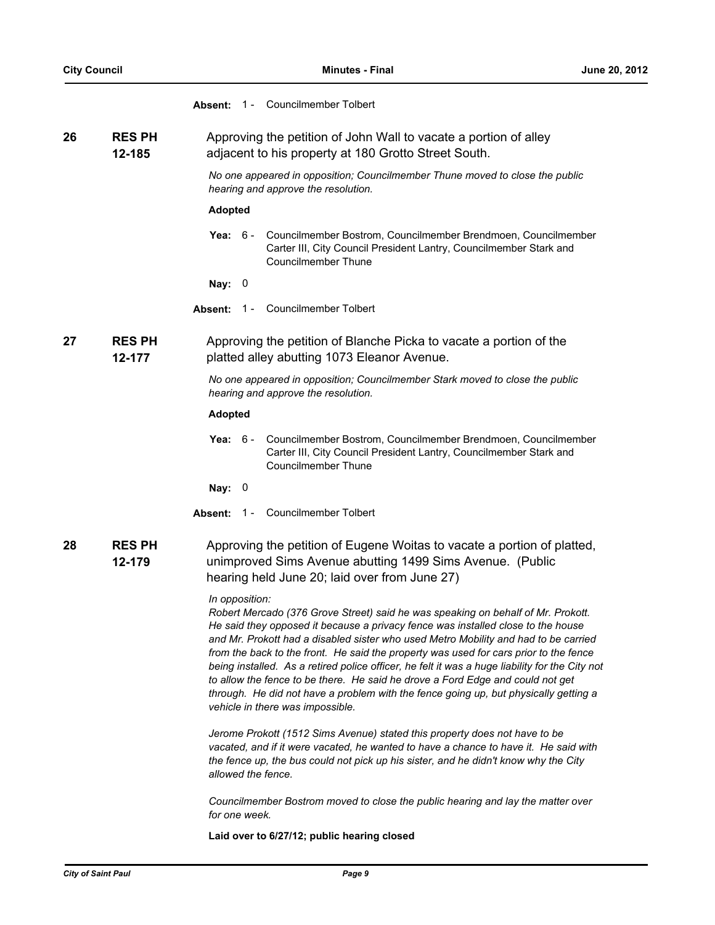|    |                         | 1 - Councilmember Tolbert<br>Absent:                                                                                                                                                                                                                                                                                                                                                                                                                                                                                                                                                                                                                                                                                                                                                                                                                                                                                                                                                                                                                         |
|----|-------------------------|--------------------------------------------------------------------------------------------------------------------------------------------------------------------------------------------------------------------------------------------------------------------------------------------------------------------------------------------------------------------------------------------------------------------------------------------------------------------------------------------------------------------------------------------------------------------------------------------------------------------------------------------------------------------------------------------------------------------------------------------------------------------------------------------------------------------------------------------------------------------------------------------------------------------------------------------------------------------------------------------------------------------------------------------------------------|
| 26 | <b>RES PH</b><br>12-185 | Approving the petition of John Wall to vacate a portion of alley<br>adjacent to his property at 180 Grotto Street South.                                                                                                                                                                                                                                                                                                                                                                                                                                                                                                                                                                                                                                                                                                                                                                                                                                                                                                                                     |
|    |                         | No one appeared in opposition; Councilmember Thune moved to close the public<br>hearing and approve the resolution.                                                                                                                                                                                                                                                                                                                                                                                                                                                                                                                                                                                                                                                                                                                                                                                                                                                                                                                                          |
|    |                         | <b>Adopted</b>                                                                                                                                                                                                                                                                                                                                                                                                                                                                                                                                                                                                                                                                                                                                                                                                                                                                                                                                                                                                                                               |
|    |                         | Councilmember Bostrom, Councilmember Brendmoen, Councilmember<br>Yea: $6 -$<br>Carter III, City Council President Lantry, Councilmember Stark and<br><b>Councilmember Thune</b>                                                                                                                                                                                                                                                                                                                                                                                                                                                                                                                                                                                                                                                                                                                                                                                                                                                                              |
|    |                         | Nay: 0                                                                                                                                                                                                                                                                                                                                                                                                                                                                                                                                                                                                                                                                                                                                                                                                                                                                                                                                                                                                                                                       |
|    |                         | 1 - Councilmember Tolbert<br>Absent:                                                                                                                                                                                                                                                                                                                                                                                                                                                                                                                                                                                                                                                                                                                                                                                                                                                                                                                                                                                                                         |
| 27 | <b>RES PH</b><br>12-177 | Approving the petition of Blanche Picka to vacate a portion of the<br>platted alley abutting 1073 Eleanor Avenue.                                                                                                                                                                                                                                                                                                                                                                                                                                                                                                                                                                                                                                                                                                                                                                                                                                                                                                                                            |
|    |                         | No one appeared in opposition; Councilmember Stark moved to close the public<br>hearing and approve the resolution.                                                                                                                                                                                                                                                                                                                                                                                                                                                                                                                                                                                                                                                                                                                                                                                                                                                                                                                                          |
|    |                         | <b>Adopted</b>                                                                                                                                                                                                                                                                                                                                                                                                                                                                                                                                                                                                                                                                                                                                                                                                                                                                                                                                                                                                                                               |
|    |                         | Councilmember Bostrom, Councilmember Brendmoen, Councilmember<br>Yea: $6-$<br>Carter III, City Council President Lantry, Councilmember Stark and<br>Councilmember Thune                                                                                                                                                                                                                                                                                                                                                                                                                                                                                                                                                                                                                                                                                                                                                                                                                                                                                      |
|    |                         | Nay: 0                                                                                                                                                                                                                                                                                                                                                                                                                                                                                                                                                                                                                                                                                                                                                                                                                                                                                                                                                                                                                                                       |
|    |                         | Absent: 1 - Councilmember Tolbert                                                                                                                                                                                                                                                                                                                                                                                                                                                                                                                                                                                                                                                                                                                                                                                                                                                                                                                                                                                                                            |
| 28 | <b>RES PH</b><br>12-179 | Approving the petition of Eugene Woitas to vacate a portion of platted,<br>unimproved Sims Avenue abutting 1499 Sims Avenue. (Public<br>hearing held June 20; laid over from June 27)                                                                                                                                                                                                                                                                                                                                                                                                                                                                                                                                                                                                                                                                                                                                                                                                                                                                        |
|    |                         | In opposition:<br>Robert Mercado (376 Grove Street) said he was speaking on behalf of Mr. Prokott.<br>He said they opposed it because a privacy fence was installed close to the house<br>and Mr. Prokott had a disabled sister who used Metro Mobility and had to be carried<br>from the back to the front. He said the property was used for cars prior to the fence<br>being installed. As a retired police officer, he felt it was a huge liability for the City not<br>to allow the fence to be there. He said he drove a Ford Edge and could not get<br>through. He did not have a problem with the fence going up, but physically getting a<br>vehicle in there was impossible.<br>Jerome Prokott (1512 Sims Avenue) stated this property does not have to be<br>vacated, and if it were vacated, he wanted to have a chance to have it. He said with<br>the fence up, the bus could not pick up his sister, and he didn't know why the City<br>allowed the fence.<br>Councilmember Bostrom moved to close the public hearing and lay the matter over |
|    |                         | for one week.                                                                                                                                                                                                                                                                                                                                                                                                                                                                                                                                                                                                                                                                                                                                                                                                                                                                                                                                                                                                                                                |

**Laid over to 6/27/12; public hearing closed**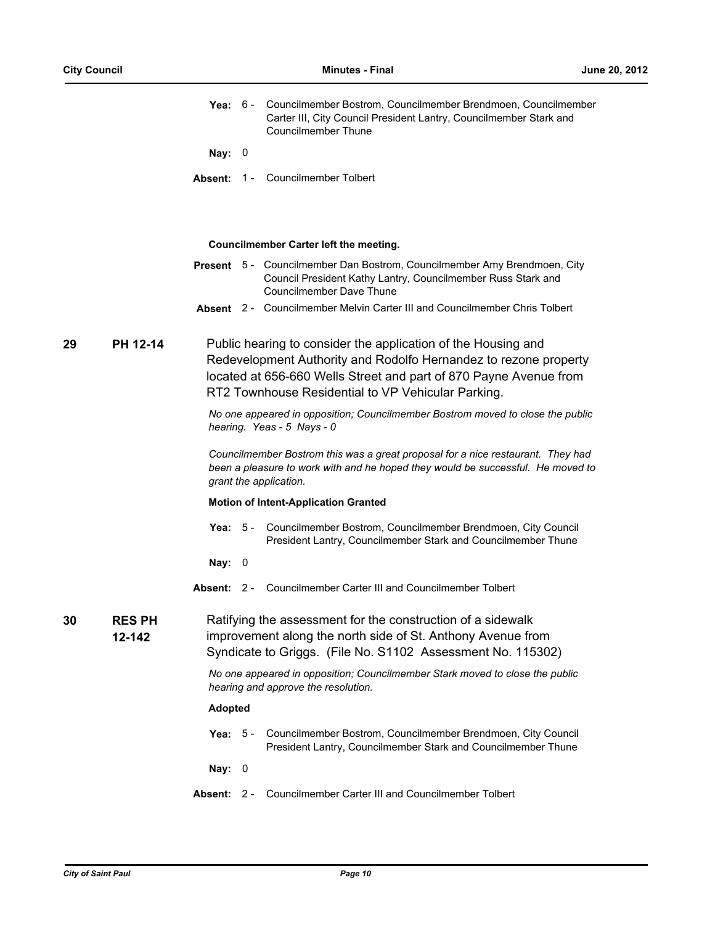|    |                         | Yea: $6-$      |                          | Councilmember Bostrom, Councilmember Brendmoen, Councilmember<br>Carter III, City Council President Lantry, Councilmember Stark and<br>Councilmember Thune                                                                                                   |
|----|-------------------------|----------------|--------------------------|--------------------------------------------------------------------------------------------------------------------------------------------------------------------------------------------------------------------------------------------------------------|
|    |                         | Nay: $0$       |                          |                                                                                                                                                                                                                                                              |
|    |                         | Absent:        | $1 -$                    | Councilmember Tolbert                                                                                                                                                                                                                                        |
|    |                         |                |                          | Councilmember Carter left the meeting.                                                                                                                                                                                                                       |
|    |                         |                |                          | Present 5 - Councilmember Dan Bostrom, Councilmember Amy Brendmoen, City<br>Council President Kathy Lantry, Councilmember Russ Stark and<br>Councilmember Dave Thune                                                                                         |
|    |                         |                |                          | Absent 2 - Councilmember Melvin Carter III and Councilmember Chris Tolbert                                                                                                                                                                                   |
| 29 | PH 12-14                |                |                          | Public hearing to consider the application of the Housing and<br>Redevelopment Authority and Rodolfo Hernandez to rezone property<br>located at 656-660 Wells Street and part of 870 Payne Avenue from<br>RT2 Townhouse Residential to VP Vehicular Parking. |
|    |                         |                |                          | No one appeared in opposition; Councilmember Bostrom moved to close the public<br>hearing. Yeas - 5 Nays - 0                                                                                                                                                 |
|    |                         |                |                          | Councilmember Bostrom this was a great proposal for a nice restaurant. They had<br>been a pleasure to work with and he hoped they would be successful. He moved to<br>grant the application.                                                                 |
|    |                         |                |                          | <b>Motion of Intent-Application Granted</b>                                                                                                                                                                                                                  |
|    |                         | Yea: $5 -$     |                          | Councilmember Bostrom, Councilmember Brendmoen, City Council<br>President Lantry, Councilmember Stark and Councilmember Thune                                                                                                                                |
|    |                         | Nay: $0$       |                          |                                                                                                                                                                                                                                                              |
|    |                         | Absent:        | $2 -$                    | Councilmember Carter III and Councilmember Tolbert                                                                                                                                                                                                           |
| 30 | <b>RES PH</b><br>12-142 |                |                          | Ratifying the assessment for the construction of a sidewalk<br>improvement along the north side of St. Anthony Avenue from<br>Syndicate to Griggs. (File No. S1102 Assessment No. 115302)                                                                    |
|    |                         |                |                          | No one appeared in opposition; Councilmember Stark moved to close the public<br>hearing and approve the resolution.                                                                                                                                          |
|    |                         | <b>Adopted</b> |                          |                                                                                                                                                                                                                                                              |
|    |                         | Yea: $5 -$     |                          | Councilmember Bostrom, Councilmember Brendmoen, City Council<br>President Lantry, Councilmember Stark and Councilmember Thune                                                                                                                                |
|    |                         | Nay:           | $\overline{\phantom{0}}$ |                                                                                                                                                                                                                                                              |
|    |                         | Absent:        | $2 -$                    | Councilmember Carter III and Councilmember Tolbert                                                                                                                                                                                                           |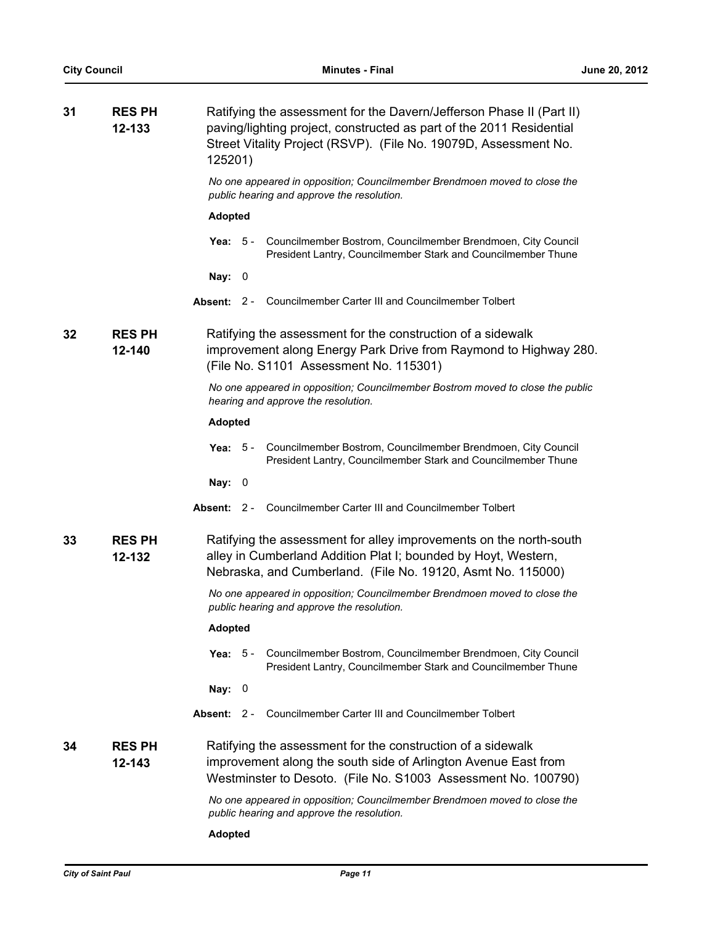| 31 | <b>RES PH</b><br>12-133 | Ratifying the assessment for the Davern/Jefferson Phase II (Part II)<br>paving/lighting project, constructed as part of the 2011 Residential<br>Street Vitality Project (RSVP). (File No. 19079D, Assessment No.<br>125201) |
|----|-------------------------|-----------------------------------------------------------------------------------------------------------------------------------------------------------------------------------------------------------------------------|
|    |                         | No one appeared in opposition; Councilmember Brendmoen moved to close the<br>public hearing and approve the resolution.                                                                                                     |
|    |                         | <b>Adopted</b>                                                                                                                                                                                                              |
|    |                         | Councilmember Bostrom, Councilmember Brendmoen, City Council<br>Yea: $5 -$<br>President Lantry, Councilmember Stark and Councilmember Thune                                                                                 |
|    |                         | Nay: $0$                                                                                                                                                                                                                    |
|    |                         | Councilmember Carter III and Councilmember Tolbert<br>Absent: 2 -                                                                                                                                                           |
| 32 | <b>RES PH</b><br>12-140 | Ratifying the assessment for the construction of a sidewalk<br>improvement along Energy Park Drive from Raymond to Highway 280.<br>(File No. S1101 Assessment No. 115301)                                                   |
|    |                         | No one appeared in opposition; Councilmember Bostrom moved to close the public<br>hearing and approve the resolution.                                                                                                       |
|    |                         | <b>Adopted</b>                                                                                                                                                                                                              |
|    |                         | Councilmember Bostrom, Councilmember Brendmoen, City Council<br>Yea: $5-$<br>President Lantry, Councilmember Stark and Councilmember Thune                                                                                  |
|    |                         | Nay: $0$                                                                                                                                                                                                                    |
|    |                         | Councilmember Carter III and Councilmember Tolbert<br>Absent: 2 -                                                                                                                                                           |
| 33 | <b>RES PH</b><br>12-132 | Ratifying the assessment for alley improvements on the north-south<br>alley in Cumberland Addition Plat I; bounded by Hoyt, Western,<br>Nebraska, and Cumberland. (File No. 19120, Asmt No. 115000)                         |
|    |                         | No one appeared in opposition; Councilmember Brendmoen moved to close the<br>public hearing and approve the resolution.                                                                                                     |
|    |                         | Adopted                                                                                                                                                                                                                     |
|    |                         | Yea:<br>$5 -$<br>Councilmember Bostrom, Councilmember Brendmoen, City Council<br>President Lantry, Councilmember Stark and Councilmember Thune                                                                              |
|    |                         | Nay: $0$                                                                                                                                                                                                                    |
|    |                         | Councilmember Carter III and Councilmember Tolbert<br>Absent: 2 -                                                                                                                                                           |
| 34 | <b>RES PH</b><br>12-143 | Ratifying the assessment for the construction of a sidewalk<br>improvement along the south side of Arlington Avenue East from<br>Westminster to Desoto. (File No. S1003 Assessment No. 100790)                              |
|    |                         | No one appeared in opposition; Councilmember Brendmoen moved to close the<br>public hearing and approve the resolution.                                                                                                     |
|    |                         |                                                                                                                                                                                                                             |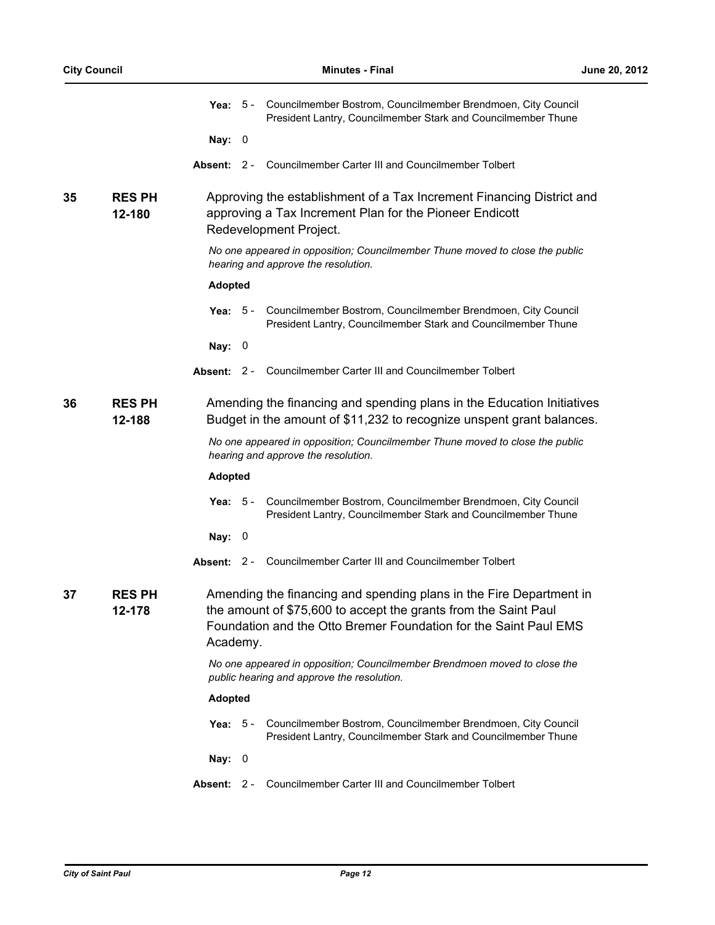|    |                         | Yea:                             | 5 - Councilmember Bostrom, Councilmember Brendmoen, City Council<br>President Lantry, Councilmember Stark and Councilmember Thune                                                                          |
|----|-------------------------|----------------------------------|------------------------------------------------------------------------------------------------------------------------------------------------------------------------------------------------------------|
|    |                         | $\overline{\phantom{0}}$<br>Nay: |                                                                                                                                                                                                            |
|    |                         | Absent:                          | 2 - Councilmember Carter III and Councilmember Tolbert                                                                                                                                                     |
| 35 | <b>RES PH</b><br>12-180 |                                  | Approving the establishment of a Tax Increment Financing District and<br>approving a Tax Increment Plan for the Pioneer Endicott<br>Redevelopment Project.                                                 |
|    |                         |                                  | No one appeared in opposition; Councilmember Thune moved to close the public<br>hearing and approve the resolution.                                                                                        |
|    |                         | <b>Adopted</b>                   |                                                                                                                                                                                                            |
|    |                         | Yea: $5-$                        | Councilmember Bostrom, Councilmember Brendmoen, City Council<br>President Lantry, Councilmember Stark and Councilmember Thune                                                                              |
|    |                         | Nay: 0                           |                                                                                                                                                                                                            |
|    |                         |                                  | <b>Absent: 2 - Councilmember Carter III and Councilmember Tolbert</b>                                                                                                                                      |
| 36 | <b>RESPH</b><br>12-188  |                                  | Amending the financing and spending plans in the Education Initiatives<br>Budget in the amount of \$11,232 to recognize unspent grant balances.                                                            |
|    |                         |                                  | No one appeared in opposition; Councilmember Thune moved to close the public<br>hearing and approve the resolution.                                                                                        |
|    |                         | <b>Adopted</b>                   |                                                                                                                                                                                                            |
|    |                         | Yea:                             | 5 - Councilmember Bostrom, Councilmember Brendmoen, City Council<br>President Lantry, Councilmember Stark and Councilmember Thune                                                                          |
|    |                         | Nay: $0$                         |                                                                                                                                                                                                            |
|    |                         |                                  | <b>Absent: 2 - Councilmember Carter III and Councilmember Tolbert</b>                                                                                                                                      |
| 37 | <b>RES PH</b><br>12-178 | Academy.                         | Amending the financing and spending plans in the Fire Department in<br>the amount of \$75,600 to accept the grants from the Saint Paul<br>Foundation and the Otto Bremer Foundation for the Saint Paul EMS |
|    |                         |                                  | No one appeared in opposition; Councilmember Brendmoen moved to close the<br>public hearing and approve the resolution.                                                                                    |
|    |                         | <b>Adopted</b>                   |                                                                                                                                                                                                            |
|    |                         | - 5 -<br>Yea:                    | Councilmember Bostrom, Councilmember Brendmoen, City Council<br>President Lantry, Councilmember Stark and Councilmember Thune                                                                              |
|    |                         | Nay: $0$                         |                                                                                                                                                                                                            |
|    |                         |                                  | Absent: 2 - Councilmember Carter III and Councilmember Tolbert                                                                                                                                             |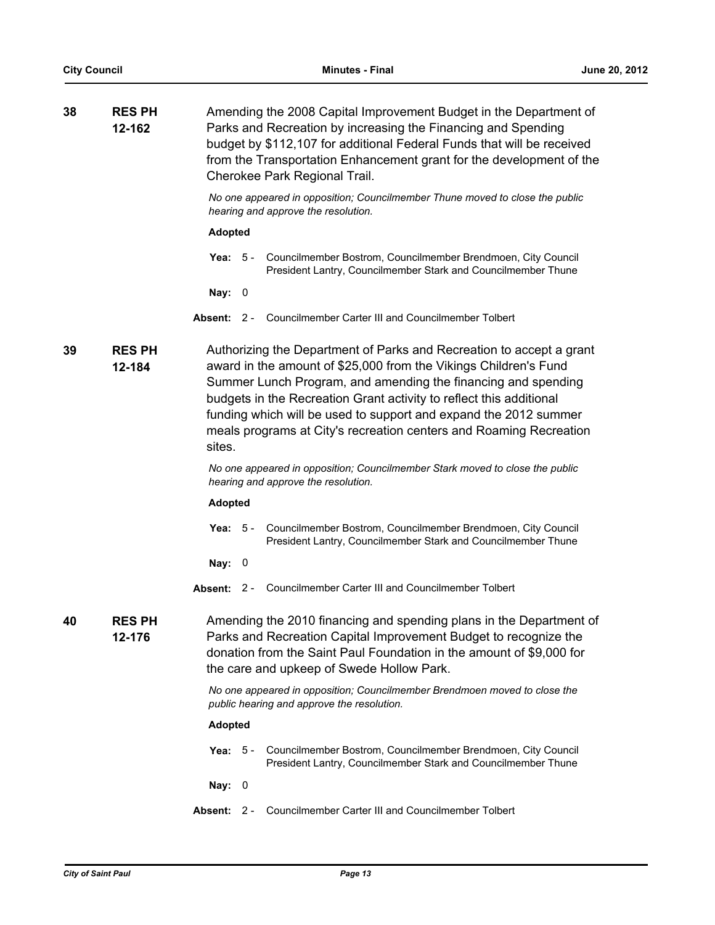| 38 | <b>RES PH</b><br>12-162 |                  | Amending the 2008 Capital Improvement Budget in the Department of<br>Parks and Recreation by increasing the Financing and Spending<br>budget by \$112,107 for additional Federal Funds that will be received<br>from the Transportation Enhancement grant for the development of the<br>Cherokee Park Regional Trail.                                                                                                      |
|----|-------------------------|------------------|----------------------------------------------------------------------------------------------------------------------------------------------------------------------------------------------------------------------------------------------------------------------------------------------------------------------------------------------------------------------------------------------------------------------------|
|    |                         |                  | No one appeared in opposition; Councilmember Thune moved to close the public<br>hearing and approve the resolution.                                                                                                                                                                                                                                                                                                        |
|    |                         | <b>Adopted</b>   |                                                                                                                                                                                                                                                                                                                                                                                                                            |
|    |                         | Yea:<br>5 -      | Councilmember Bostrom, Councilmember Brendmoen, City Council<br>President Lantry, Councilmember Stark and Councilmember Thune                                                                                                                                                                                                                                                                                              |
|    |                         | Nay: $0$         |                                                                                                                                                                                                                                                                                                                                                                                                                            |
|    |                         | Absent: 2 -      | Councilmember Carter III and Councilmember Tolbert                                                                                                                                                                                                                                                                                                                                                                         |
| 39 | <b>RES PH</b><br>12-184 | sites.           | Authorizing the Department of Parks and Recreation to accept a grant<br>award in the amount of \$25,000 from the Vikings Children's Fund<br>Summer Lunch Program, and amending the financing and spending<br>budgets in the Recreation Grant activity to reflect this additional<br>funding which will be used to support and expand the 2012 summer<br>meals programs at City's recreation centers and Roaming Recreation |
|    |                         |                  | No one appeared in opposition; Councilmember Stark moved to close the public<br>hearing and approve the resolution.                                                                                                                                                                                                                                                                                                        |
|    |                         | <b>Adopted</b>   |                                                                                                                                                                                                                                                                                                                                                                                                                            |
|    |                         | $5 -$<br>Yea:    | Councilmember Bostrom, Councilmember Brendmoen, City Council<br>President Lantry, Councilmember Stark and Councilmember Thune                                                                                                                                                                                                                                                                                              |
|    |                         | Nay: $0$         |                                                                                                                                                                                                                                                                                                                                                                                                                            |
|    |                         | Absent: 2 -      | Councilmember Carter III and Councilmember Tolbert                                                                                                                                                                                                                                                                                                                                                                         |
| 40 | <b>RES PH</b><br>12-176 |                  | Amending the 2010 financing and spending plans in the Department of<br>Parks and Recreation Capital Improvement Budget to recognize the<br>donation from the Saint Paul Foundation in the amount of \$9,000 for<br>the care and upkeep of Swede Hollow Park.                                                                                                                                                               |
|    |                         |                  | No one appeared in opposition; Councilmember Brendmoen moved to close the<br>public hearing and approve the resolution.                                                                                                                                                                                                                                                                                                    |
|    |                         | <b>Adopted</b>   |                                                                                                                                                                                                                                                                                                                                                                                                                            |
|    |                         | Yea: $5 -$       | Councilmember Bostrom, Councilmember Brendmoen, City Council<br>President Lantry, Councilmember Stark and Councilmember Thune                                                                                                                                                                                                                                                                                              |
|    |                         | Nay: $0$         |                                                                                                                                                                                                                                                                                                                                                                                                                            |
|    |                         | $-2-$<br>Absent: | Councilmember Carter III and Councilmember Tolbert                                                                                                                                                                                                                                                                                                                                                                         |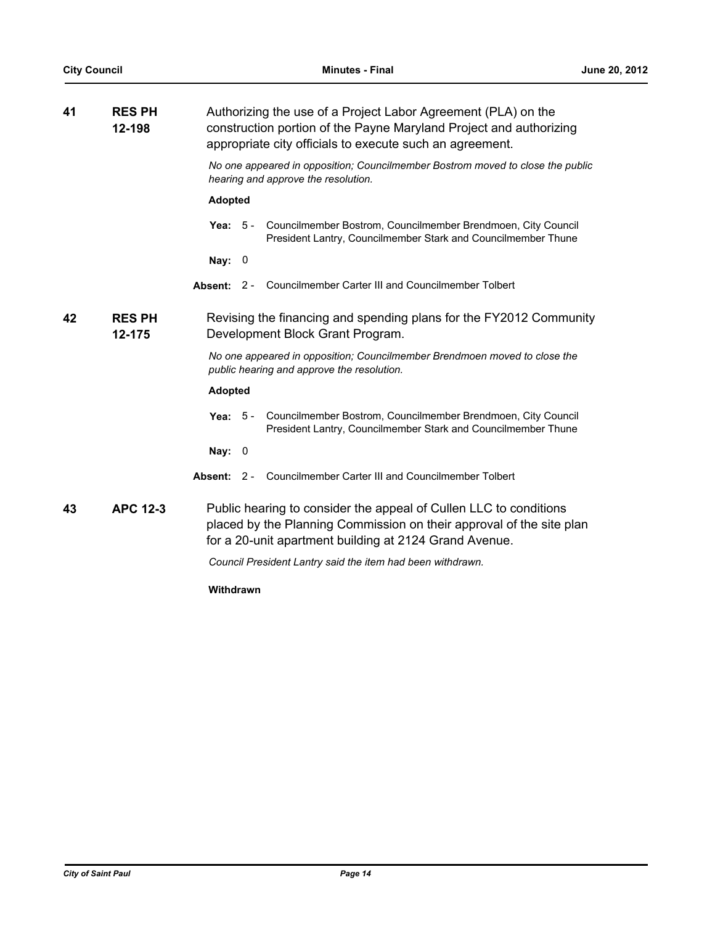| 41 | <b>RES PH</b><br>12-198 | Authorizing the use of a Project Labor Agreement (PLA) on the<br>construction portion of the Payne Maryland Project and authorizing<br>appropriate city officials to execute such an agreement.<br>No one appeared in opposition; Councilmember Bostrom moved to close the public<br>hearing and approve the resolution. |       |                                                                                                                                                                                                     |
|----|-------------------------|--------------------------------------------------------------------------------------------------------------------------------------------------------------------------------------------------------------------------------------------------------------------------------------------------------------------------|-------|-----------------------------------------------------------------------------------------------------------------------------------------------------------------------------------------------------|
|    |                         | <b>Adopted</b>                                                                                                                                                                                                                                                                                                           |       |                                                                                                                                                                                                     |
|    |                         | Yea: $5 -$                                                                                                                                                                                                                                                                                                               |       | Councilmember Bostrom, Councilmember Brendmoen, City Council<br>President Lantry, Councilmember Stark and Councilmember Thune                                                                       |
|    |                         | Nay:                                                                                                                                                                                                                                                                                                                     | 0     |                                                                                                                                                                                                     |
|    |                         | Absent:                                                                                                                                                                                                                                                                                                                  | $2 -$ | Councilmember Carter III and Councilmember Tolbert                                                                                                                                                  |
| 42 | <b>RES PH</b><br>12-175 |                                                                                                                                                                                                                                                                                                                          |       | Revising the financing and spending plans for the FY2012 Community<br>Development Block Grant Program.                                                                                              |
|    |                         |                                                                                                                                                                                                                                                                                                                          |       | No one appeared in opposition; Councilmember Brendmoen moved to close the<br>public hearing and approve the resolution.                                                                             |
|    |                         | <b>Adopted</b>                                                                                                                                                                                                                                                                                                           |       |                                                                                                                                                                                                     |
|    |                         | Yea:                                                                                                                                                                                                                                                                                                                     | -5 -  | Councilmember Bostrom, Councilmember Brendmoen, City Council<br>President Lantry, Councilmember Stark and Councilmember Thune                                                                       |
|    |                         | Nay: $0$                                                                                                                                                                                                                                                                                                                 |       |                                                                                                                                                                                                     |
|    |                         |                                                                                                                                                                                                                                                                                                                          |       | <b>Absent: 2 - Councilmember Carter III and Councilmember Tolbert</b>                                                                                                                               |
| 43 | <b>APC 12-3</b>         |                                                                                                                                                                                                                                                                                                                          |       | Public hearing to consider the appeal of Cullen LLC to conditions<br>placed by the Planning Commission on their approval of the site plan<br>for a 20-unit apartment building at 2124 Grand Avenue. |
|    |                         |                                                                                                                                                                                                                                                                                                                          |       | Council President Lantry said the item had been withdrawn.                                                                                                                                          |
|    |                         |                                                                                                                                                                                                                                                                                                                          |       |                                                                                                                                                                                                     |

**Withdrawn**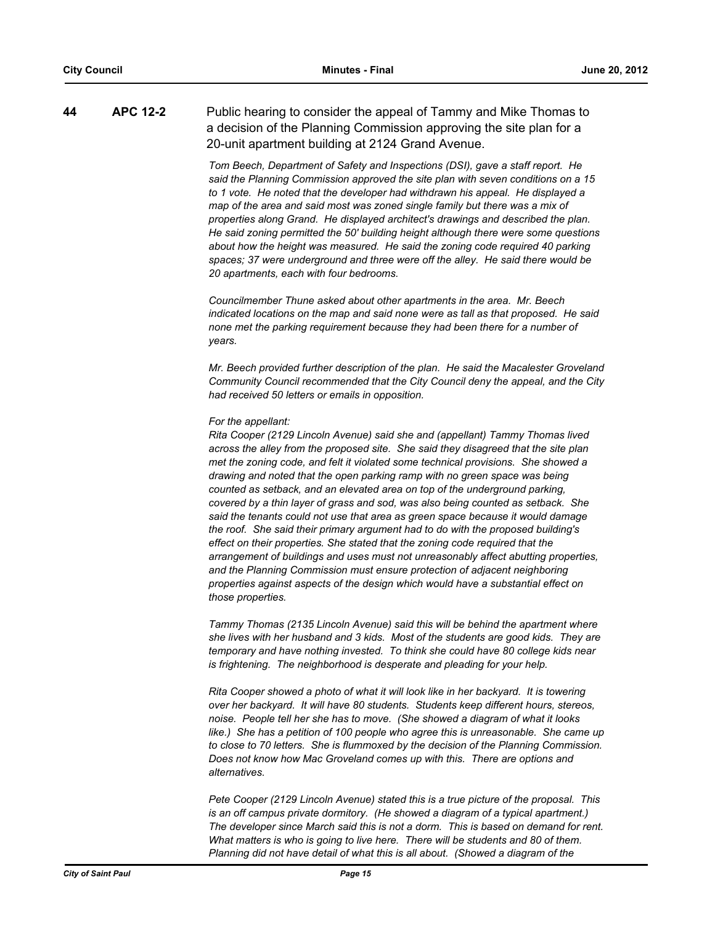# **44 APC 12-2** Public hearing to consider the appeal of Tammy and Mike Thomas to a decision of the Planning Commission approving the site plan for a 20-unit apartment building at 2124 Grand Avenue.

*Tom Beech, Department of Safety and Inspections (DSI), gave a staff report. He said the Planning Commission approved the site plan with seven conditions on a 15 to 1 vote. He noted that the developer had withdrawn his appeal. He displayed a map of the area and said most was zoned single family but there was a mix of properties along Grand. He displayed architect's drawings and described the plan. He said zoning permitted the 50' building height although there were some questions about how the height was measured. He said the zoning code required 40 parking spaces; 37 were underground and three were off the alley. He said there would be 20 apartments, each with four bedrooms.*

*Councilmember Thune asked about other apartments in the area. Mr. Beech indicated locations on the map and said none were as tall as that proposed. He said none met the parking requirement because they had been there for a number of years.*

*Mr. Beech provided further description of the plan. He said the Macalester Groveland Community Council recommended that the City Council deny the appeal, and the City had received 50 letters or emails in opposition.* 

#### *For the appellant:*

*Rita Cooper (2129 Lincoln Avenue) said she and (appellant) Tammy Thomas lived across the alley from the proposed site. She said they disagreed that the site plan met the zoning code, and felt it violated some technical provisions. She showed a drawing and noted that the open parking ramp with no green space was being counted as setback, and an elevated area on top of the underground parking, covered by a thin layer of grass and sod, was also being counted as setback. She said the tenants could not use that area as green space because it would damage the roof. She said their primary argument had to do with the proposed building's effect on their properties. She stated that the zoning code required that the arrangement of buildings and uses must not unreasonably affect abutting properties, and the Planning Commission must ensure protection of adjacent neighboring properties against aspects of the design which would have a substantial effect on those properties.*

*Tammy Thomas (2135 Lincoln Avenue) said this will be behind the apartment where she lives with her husband and 3 kids. Most of the students are good kids. They are temporary and have nothing invested. To think she could have 80 college kids near is frightening. The neighborhood is desperate and pleading for your help.* 

*Rita Cooper showed a photo of what it will look like in her backyard. It is towering over her backyard. It will have 80 students. Students keep different hours, stereos, noise. People tell her she has to move. (She showed a diagram of what it looks like.) She has a petition of 100 people who agree this is unreasonable. She came up to close to 70 letters. She is flummoxed by the decision of the Planning Commission. Does not know how Mac Groveland comes up with this. There are options and alternatives.* 

*Pete Cooper (2129 Lincoln Avenue) stated this is a true picture of the proposal. This is an off campus private dormitory. (He showed a diagram of a typical apartment.) The developer since March said this is not a dorm. This is based on demand for rent. What matters is who is going to live here. There will be students and 80 of them. Planning did not have detail of what this is all about. (Showed a diagram of the*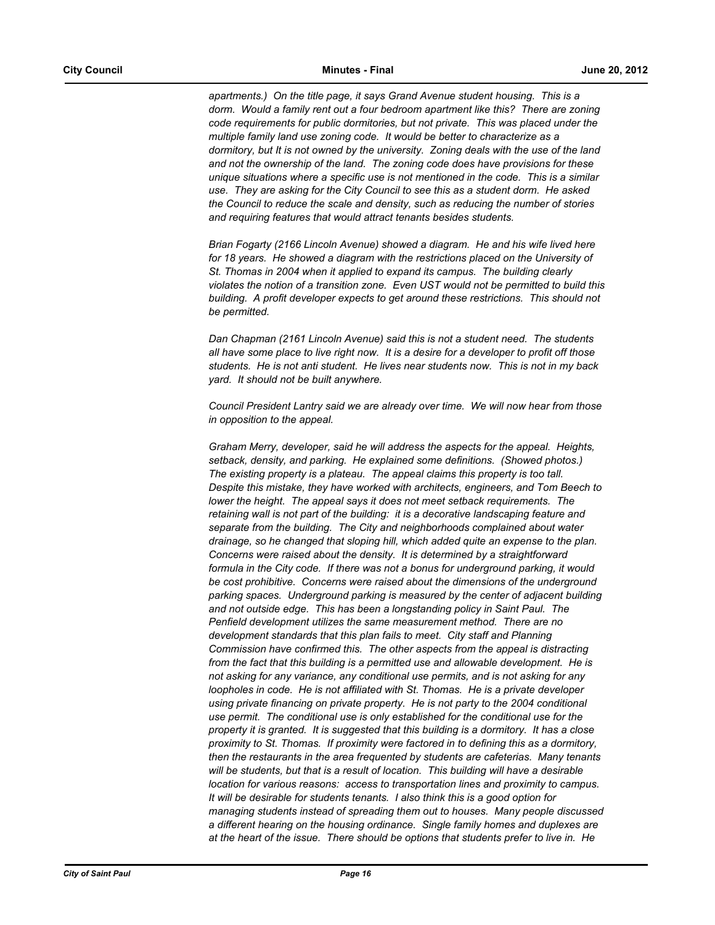*apartments.) On the title page, it says Grand Avenue student housing. This is a dorm. Would a family rent out a four bedroom apartment like this? There are zoning code requirements for public dormitories, but not private. This was placed under the multiple family land use zoning code. It would be better to characterize as a dormitory, but It is not owned by the university. Zoning deals with the use of the land and not the ownership of the land. The zoning code does have provisions for these unique situations where a specific use is not mentioned in the code. This is a similar use. They are asking for the City Council to see this as a student dorm. He asked the Council to reduce the scale and density, such as reducing the number of stories and requiring features that would attract tenants besides students.* 

*Brian Fogarty (2166 Lincoln Avenue) showed a diagram. He and his wife lived here*  for 18 years. He showed a diagram with the restrictions placed on the University of *St. Thomas in 2004 when it applied to expand its campus. The building clearly violates the notion of a transition zone. Even UST would not be permitted to build this building. A profit developer expects to get around these restrictions. This should not be permitted.*

*Dan Chapman (2161 Lincoln Avenue) said this is not a student need. The students all have some place to live right now. It is a desire for a developer to profit off those students. He is not anti student. He lives near students now. This is not in my back yard. It should not be built anywhere.* 

*Council President Lantry said we are already over time. We will now hear from those in opposition to the appeal.*

*Graham Merry, developer, said he will address the aspects for the appeal. Heights, setback, density, and parking. He explained some definitions. (Showed photos.) The existing property is a plateau. The appeal claims this property is too tall. Despite this mistake, they have worked with architects, engineers, and Tom Beech to lower the height. The appeal says it does not meet setback requirements. The retaining wall is not part of the building: it is a decorative landscaping feature and separate from the building. The City and neighborhoods complained about water drainage, so he changed that sloping hill, which added quite an expense to the plan. Concerns were raised about the density. It is determined by a straightforward formula in the City code. If there was not a bonus for underground parking, it would be cost prohibitive. Concerns were raised about the dimensions of the underground parking spaces. Underground parking is measured by the center of adjacent building and not outside edge. This has been a longstanding policy in Saint Paul. The Penfield development utilizes the same measurement method. There are no development standards that this plan fails to meet. City staff and Planning Commission have confirmed this. The other aspects from the appeal is distracting from the fact that this building is a permitted use and allowable development. He is not asking for any variance, any conditional use permits, and is not asking for any loopholes in code. He is not affiliated with St. Thomas. He is a private developer using private financing on private property. He is not party to the 2004 conditional use permit. The conditional use is only established for the conditional use for the property it is granted. It is suggested that this building is a dormitory. It has a close proximity to St. Thomas. If proximity were factored in to defining this as a dormitory, then the restaurants in the area frequented by students are cafeterias. Many tenants*  will be students, but that is a result of location. This building will have a desirable *location for various reasons: access to transportation lines and proximity to campus. It will be desirable for students tenants. I also think this is a good option for managing students instead of spreading them out to houses. Many people discussed a different hearing on the housing ordinance. Single family homes and duplexes are at the heart of the issue. There should be options that students prefer to live in. He*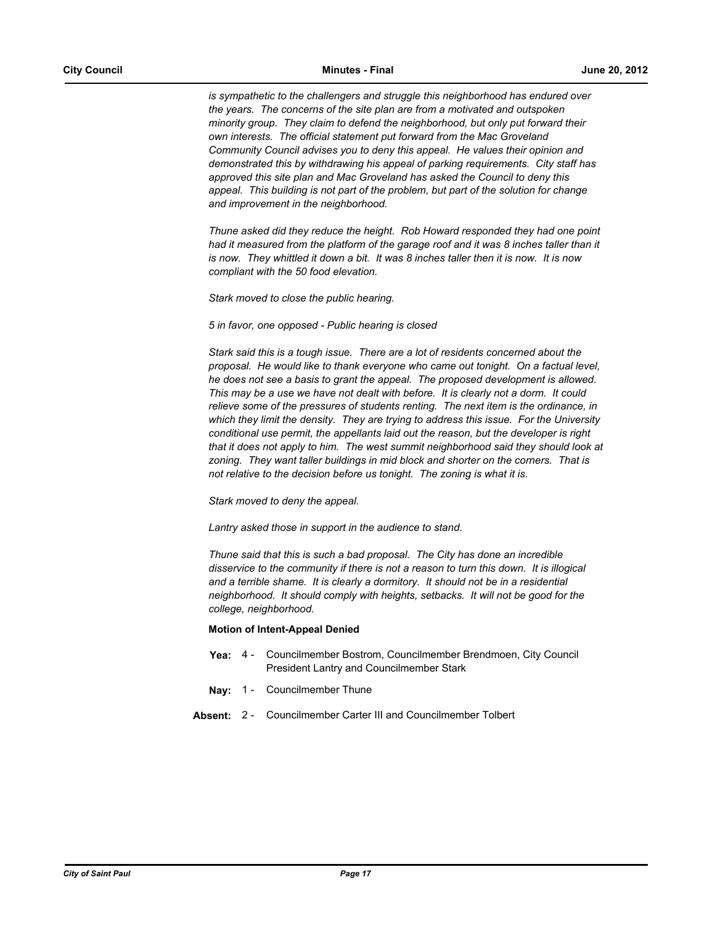*is sympathetic to the challengers and struggle this neighborhood has endured over the years. The concerns of the site plan are from a motivated and outspoken minority group. They claim to defend the neighborhood, but only put forward their own interests. The official statement put forward from the Mac Groveland Community Council advises you to deny this appeal. He values their opinion and demonstrated this by withdrawing his appeal of parking requirements. City staff has approved this site plan and Mac Groveland has asked the Council to deny this appeal. This building is not part of the problem, but part of the solution for change and improvement in the neighborhood.* 

*Thune asked did they reduce the height. Rob Howard responded they had one point had it measured from the platform of the garage roof and it was 8 inches taller than it is now. They whittled it down a bit. It was 8 inches taller then it is now. It is now compliant with the 50 food elevation.* 

*Stark moved to close the public hearing.*

*5 in favor, one opposed - Public hearing is closed*

*Stark said this is a tough issue. There are a lot of residents concerned about the proposal. He would like to thank everyone who came out tonight. On a factual level, he does not see a basis to grant the appeal. The proposed development is allowed. This may be a use we have not dealt with before. It is clearly not a dorm. It could relieve some of the pressures of students renting. The next item is the ordinance, in which they limit the density. They are trying to address this issue. For the University conditional use permit, the appellants laid out the reason, but the developer is right that it does not apply to him. The west summit neighborhood said they should look at zoning. They want taller buildings in mid block and shorter on the corners. That is not relative to the decision before us tonight. The zoning is what it is.*

*Stark moved to deny the appeal.*

*Lantry asked those in support in the audience to stand.*

*Thune said that this is such a bad proposal. The City has done an incredible disservice to the community if there is not a reason to turn this down. It is illogical and a terrible shame. It is clearly a dormitory. It should not be in a residential neighborhood. It should comply with heights, setbacks. It will not be good for the college, neighborhood.*

### **Motion of Intent-Appeal Denied**

- Yea: 4 Councilmember Bostrom, Councilmember Brendmoen, City Council President Lantry and Councilmember Stark
- **Nay:** 1 Councilmember Thune
- **Absent:** 2 Councilmember Carter III and Councilmember Tolbert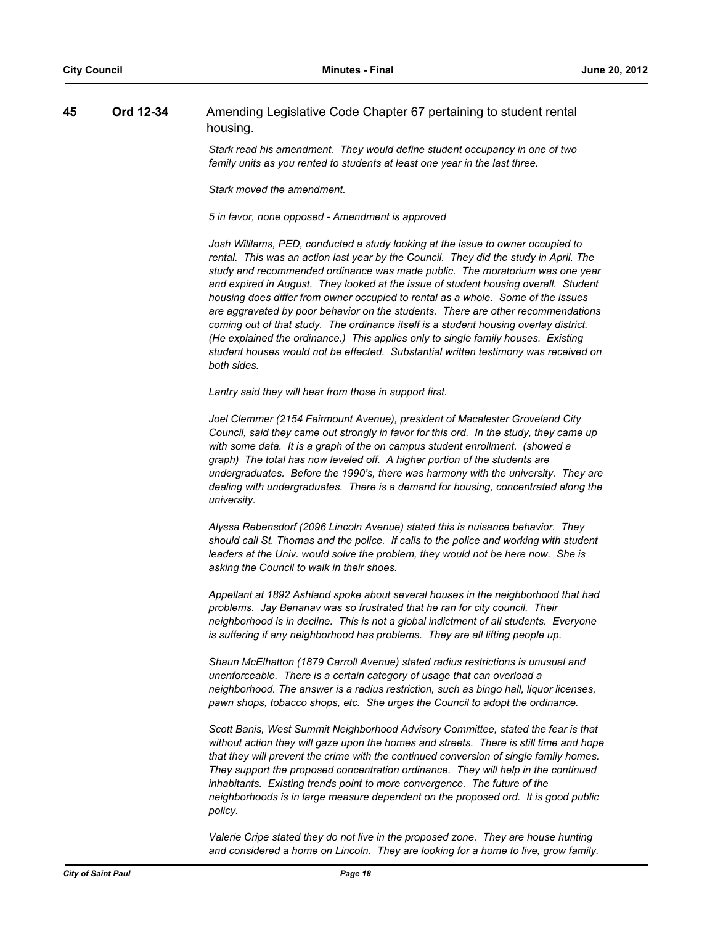# **45 Ord 12-34** Amending Legislative Code Chapter 67 pertaining to student rental housing.

*Stark read his amendment. They would define student occupancy in one of two family units as you rented to students at least one year in the last three.* 

*Stark moved the amendment.*

*5 in favor, none opposed - Amendment is approved*

*Josh Wililams, PED, conducted a study looking at the issue to owner occupied to rental. This was an action last year by the Council. They did the study in April. The study and recommended ordinance was made public. The moratorium was one year and expired in August. They looked at the issue of student housing overall. Student housing does differ from owner occupied to rental as a whole. Some of the issues are aggravated by poor behavior on the students. There are other recommendations coming out of that study. The ordinance itself is a student housing overlay district. (He explained the ordinance.) This applies only to single family houses. Existing student houses would not be effected. Substantial written testimony was received on both sides.* 

*Lantry said they will hear from those in support first.*

*Joel Clemmer (2154 Fairmount Avenue), president of Macalester Groveland City Council, said they came out strongly in favor for this ord. In the study, they came up with some data. It is a graph of the on campus student enrollment. (showed a graph) The total has now leveled off. A higher portion of the students are undergraduates. Before the 1990's, there was harmony with the university. They are dealing with undergraduates. There is a demand for housing, concentrated along the university.*

*Alyssa Rebensdorf (2096 Lincoln Avenue) stated this is nuisance behavior. They should call St. Thomas and the police. If calls to the police and working with student leaders at the Univ. would solve the problem, they would not be here now. She is asking the Council to walk in their shoes.*

*Appellant at 1892 Ashland spoke about several houses in the neighborhood that had problems. Jay Benanav was so frustrated that he ran for city council. Their neighborhood is in decline. This is not a global indictment of all students. Everyone is suffering if any neighborhood has problems. They are all lifting people up.*

*Shaun McElhatton (1879 Carroll Avenue) stated radius restrictions is unusual and unenforceable. There is a certain category of usage that can overload a neighborhood. The answer is a radius restriction, such as bingo hall, liquor licenses, pawn shops, tobacco shops, etc. She urges the Council to adopt the ordinance.*

*Scott Banis, West Summit Neighborhood Advisory Committee, stated the fear is that without action they will gaze upon the homes and streets. There is still time and hope that they will prevent the crime with the continued conversion of single family homes. They support the proposed concentration ordinance. They will help in the continued inhabitants. Existing trends point to more convergence. The future of the neighborhoods is in large measure dependent on the proposed ord. It is good public policy.* 

*Valerie Cripe stated they do not live in the proposed zone. They are house hunting and considered a home on Lincoln. They are looking for a home to live, grow family.*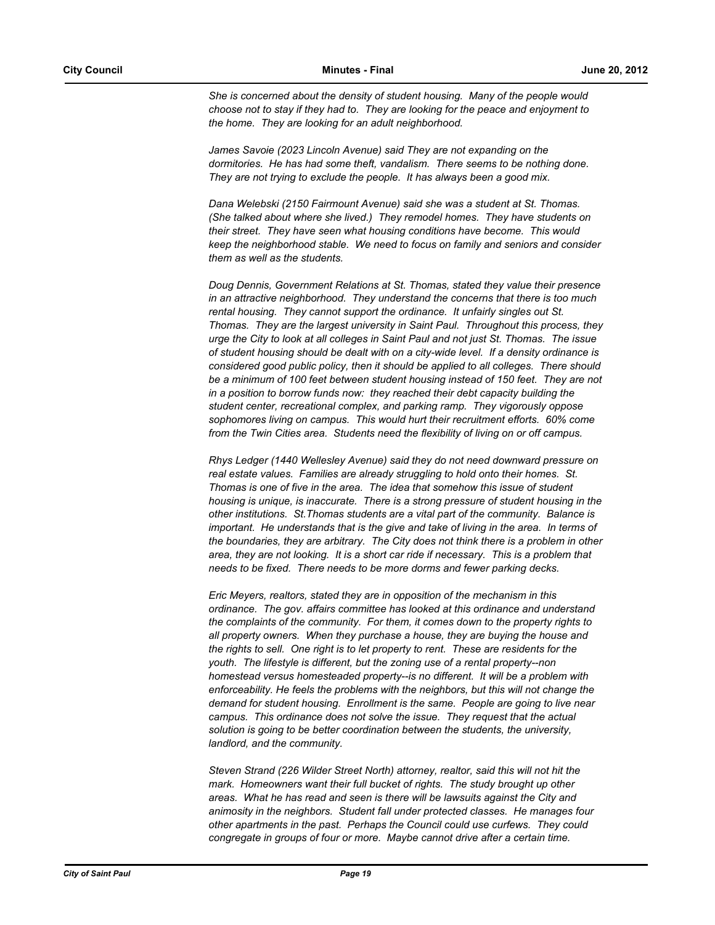*She is concerned about the density of student housing. Many of the people would choose not to stay if they had to. They are looking for the peace and enjoyment to the home. They are looking for an adult neighborhood.* 

*James Savoie (2023 Lincoln Avenue) said They are not expanding on the dormitories. He has had some theft, vandalism. There seems to be nothing done. They are not trying to exclude the people. It has always been a good mix.* 

*Dana Welebski (2150 Fairmount Avenue) said she was a student at St. Thomas. (She talked about where she lived.) They remodel homes. They have students on their street. They have seen what housing conditions have become. This would keep the neighborhood stable. We need to focus on family and seniors and consider them as well as the students.*

*Doug Dennis, Government Relations at St. Thomas, stated they value their presence in an attractive neighborhood. They understand the concerns that there is too much rental housing. They cannot support the ordinance. It unfairly singles out St. Thomas. They are the largest university in Saint Paul. Throughout this process, they urge the City to look at all colleges in Saint Paul and not just St. Thomas. The issue of student housing should be dealt with on a city-wide level. If a density ordinance is considered good public policy, then it should be applied to all colleges. There should be a minimum of 100 feet between student housing instead of 150 feet. They are not in a position to borrow funds now: they reached their debt capacity building the student center, recreational complex, and parking ramp. They vigorously oppose sophomores living on campus. This would hurt their recruitment efforts. 60% come from the Twin Cities area. Students need the flexibility of living on or off campus.*

*Rhys Ledger (1440 Wellesley Avenue) said they do not need downward pressure on real estate values. Families are already struggling to hold onto their homes. St. Thomas is one of five in the area. The idea that somehow this issue of student housing is unique, is inaccurate. There is a strong pressure of student housing in the other institutions. St.Thomas students are a vital part of the community. Balance is important. He understands that is the give and take of living in the area. In terms of the boundaries, they are arbitrary. The City does not think there is a problem in other area, they are not looking. It is a short car ride if necessary. This is a problem that needs to be fixed. There needs to be more dorms and fewer parking decks.* 

*Eric Meyers, realtors, stated they are in opposition of the mechanism in this ordinance. The gov. affairs committee has looked at this ordinance and understand the complaints of the community. For them, it comes down to the property rights to all property owners. When they purchase a house, they are buying the house and the rights to sell. One right is to let property to rent. These are residents for the youth. The lifestyle is different, but the zoning use of a rental property--non homestead versus homesteaded property--is no different. It will be a problem with enforceability. He feels the problems with the neighbors, but this will not change the demand for student housing. Enrollment is the same. People are going to live near campus. This ordinance does not solve the issue. They request that the actual solution is going to be better coordination between the students, the university, landlord, and the community.* 

*Steven Strand (226 Wilder Street North) attorney, realtor, said this will not hit the mark. Homeowners want their full bucket of rights. The study brought up other areas. What he has read and seen is there will be lawsuits against the City and animosity in the neighbors. Student fall under protected classes. He manages four other apartments in the past. Perhaps the Council could use curfews. They could congregate in groups of four or more. Maybe cannot drive after a certain time.*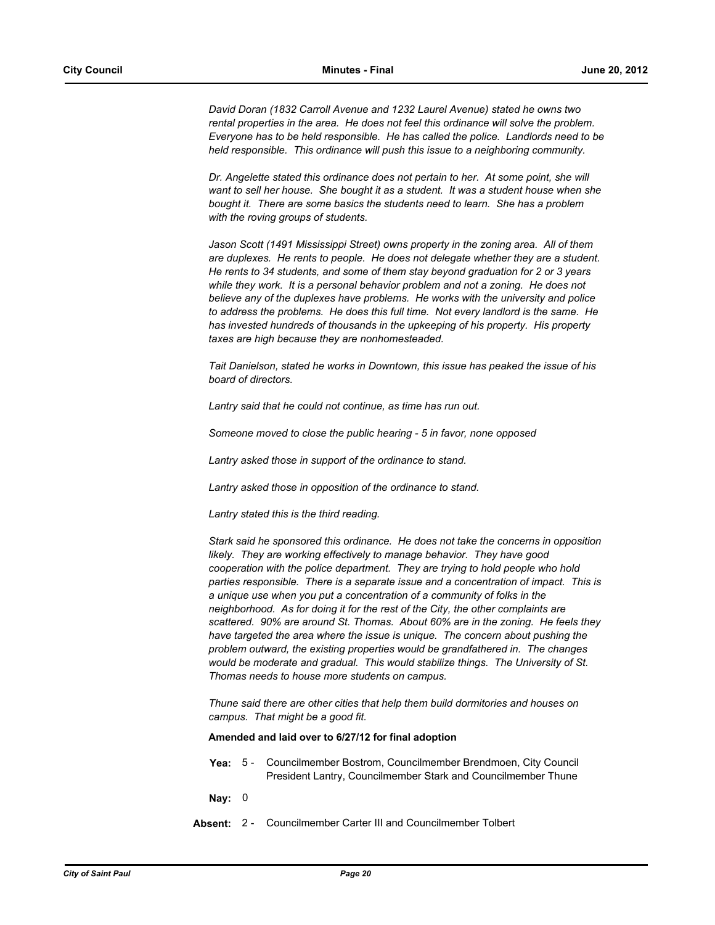*David Doran (1832 Carroll Avenue and 1232 Laurel Avenue) stated he owns two rental properties in the area. He does not feel this ordinance will solve the problem. Everyone has to be held responsible. He has called the police. Landlords need to be held responsible. This ordinance will push this issue to a neighboring community.* 

*Dr. Angelette stated this ordinance does not pertain to her. At some point, she will want to sell her house. She bought it as a student. It was a student house when she bought it. There are some basics the students need to learn. She has a problem with the roving groups of students.* 

*Jason Scott (1491 Mississippi Street) owns property in the zoning area. All of them are duplexes. He rents to people. He does not delegate whether they are a student. He rents to 34 students, and some of them stay beyond graduation for 2 or 3 years while they work. It is a personal behavior problem and not a zoning. He does not believe any of the duplexes have problems. He works with the university and police to address the problems. He does this full time. Not every landlord is the same. He has invested hundreds of thousands in the upkeeping of his property. His property taxes are high because they are nonhomesteaded.* 

*Tait Danielson, stated he works in Downtown, this issue has peaked the issue of his board of directors.* 

*Lantry said that he could not continue, as time has run out.*

*Someone moved to close the public hearing - 5 in favor, none opposed*

*Lantry asked those in support of the ordinance to stand.*

*Lantry asked those in opposition of the ordinance to stand.*

*Lantry stated this is the third reading.*

*Stark said he sponsored this ordinance. He does not take the concerns in opposition likely. They are working effectively to manage behavior. They have good cooperation with the police department. They are trying to hold people who hold parties responsible. There is a separate issue and a concentration of impact. This is a unique use when you put a concentration of a community of folks in the neighborhood. As for doing it for the rest of the City, the other complaints are scattered. 90% are around St. Thomas. About 60% are in the zoning. He feels they have targeted the area where the issue is unique. The concern about pushing the problem outward, the existing properties would be grandfathered in. The changes would be moderate and gradual. This would stabilize things. The University of St. Thomas needs to house more students on campus.*

*Thune said there are other cities that help them build dormitories and houses on campus. That might be a good fit.*

#### **Amended and laid over to 6/27/12 for final adoption**

**Yea:** Councilmember Bostrom, Councilmember Brendmoen, City Council President Lantry, Councilmember Stark and Councilmember Thune Yea:  $5 -$ 

**Nay:** 0

**Absent:** 2 - Councilmember Carter III and Councilmember Tolbert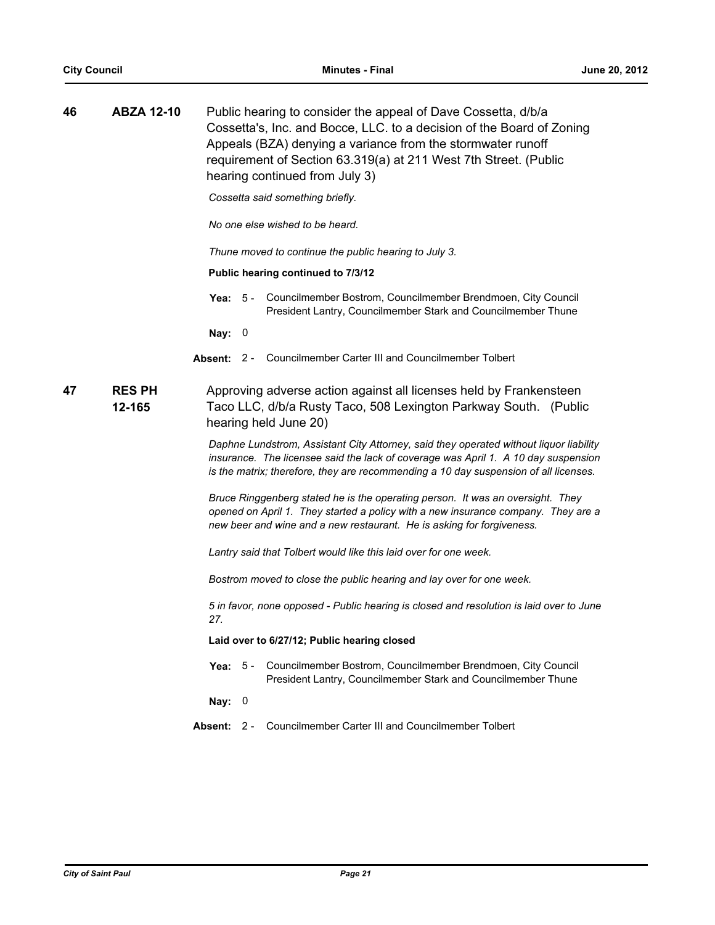| 46 | <b>ABZA 12-10</b>       |             | Public hearing to consider the appeal of Dave Cossetta, d/b/a<br>Cossetta's, Inc. and Bocce, LLC. to a decision of the Board of Zoning<br>Appeals (BZA) denying a variance from the stormwater runoff<br>requirement of Section 63.319(a) at 211 West 7th Street. (Public<br>hearing continued from July 3) |
|----|-------------------------|-------------|-------------------------------------------------------------------------------------------------------------------------------------------------------------------------------------------------------------------------------------------------------------------------------------------------------------|
|    |                         |             | Cossetta said something briefly.                                                                                                                                                                                                                                                                            |
|    |                         |             | No one else wished to be heard.                                                                                                                                                                                                                                                                             |
|    |                         |             | Thune moved to continue the public hearing to July 3.                                                                                                                                                                                                                                                       |
|    |                         |             | Public hearing continued to 7/3/12                                                                                                                                                                                                                                                                          |
|    |                         |             | Yea: 5 - Councilmember Bostrom, Councilmember Brendmoen, City Council<br>President Lantry, Councilmember Stark and Councilmember Thune                                                                                                                                                                      |
|    |                         | Nay: 0      |                                                                                                                                                                                                                                                                                                             |
|    |                         |             | Absent: 2 - Councilmember Carter III and Councilmember Tolbert                                                                                                                                                                                                                                              |
| 47 | <b>RES PH</b><br>12-165 |             | Approving adverse action against all licenses held by Frankensteen<br>Taco LLC, d/b/a Rusty Taco, 508 Lexington Parkway South. (Public<br>hearing held June 20)                                                                                                                                             |
|    |                         |             | Daphne Lundstrom, Assistant City Attorney, said they operated without liquor liability<br>insurance. The licensee said the lack of coverage was April 1. A 10 day suspension<br>is the matrix; therefore, they are recommending a 10 day suspension of all licenses.                                        |
|    |                         |             | Bruce Ringgenberg stated he is the operating person. It was an oversight. They<br>opened on April 1. They started a policy with a new insurance company. They are a<br>new beer and wine and a new restaurant. He is asking for forgiveness.                                                                |
|    |                         |             | Lantry said that Tolbert would like this laid over for one week.                                                                                                                                                                                                                                            |
|    |                         |             | Bostrom moved to close the public hearing and lay over for one week.                                                                                                                                                                                                                                        |
|    |                         | 27.         | 5 in favor, none opposed - Public hearing is closed and resolution is laid over to June                                                                                                                                                                                                                     |
|    |                         |             | Laid over to 6/27/12; Public hearing closed                                                                                                                                                                                                                                                                 |
|    |                         | Yea: $5 -$  | Councilmember Bostrom, Councilmember Brendmoen, City Council<br>President Lantry, Councilmember Stark and Councilmember Thune                                                                                                                                                                               |
|    |                         | Nay: 0      |                                                                                                                                                                                                                                                                                                             |
|    |                         | Absent: 2 - | Councilmember Carter III and Councilmember Tolbert                                                                                                                                                                                                                                                          |
|    |                         |             |                                                                                                                                                                                                                                                                                                             |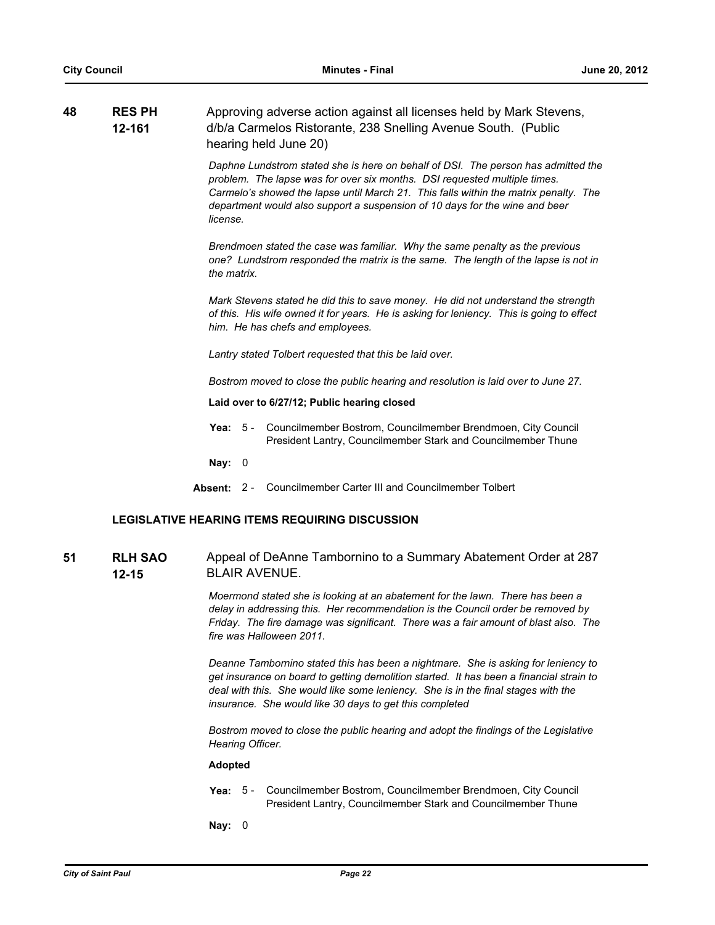| 48 | <b>RES PH</b> | Approving adverse action against all licenses held by Mark Stevens, |
|----|---------------|---------------------------------------------------------------------|
|    | 12-161        | d/b/a Carmelos Ristorante, 238 Snelling Avenue South. (Public       |
|    |               | hearing held June 20)                                               |
|    |               |                                                                     |

*Daphne Lundstrom stated she is here on behalf of DSI. The person has admitted the problem. The lapse was for over six months. DSI requested multiple times. Carmelo's showed the lapse until March 21. This falls within the matrix penalty. The department would also support a suspension of 10 days for the wine and beer license.*

*Brendmoen stated the case was familiar. Why the same penalty as the previous one? Lundstrom responded the matrix is the same. The length of the lapse is not in the matrix.*

*Mark Stevens stated he did this to save money. He did not understand the strength of this. His wife owned it for years. He is asking for leniency. This is going to effect him. He has chefs and employees.* 

*Lantry stated Tolbert requested that this be laid over.*

*Bostrom moved to close the public hearing and resolution is laid over to June 27.*

#### **Laid over to 6/27/12; Public hearing closed**

Yea: 5 - Councilmember Bostrom, Councilmember Brendmoen, City Council President Lantry, Councilmember Stark and Councilmember Thune

**Nay:** 0

**Absent:** 2 - Councilmember Carter III and Councilmember Tolbert

# **LEGISLATIVE HEARING ITEMS REQUIRING DISCUSSION**

#### **RLH SAO 12-15 51 RLH SAO** Appeal of DeAnne Tambornino to a Summary Abatement Order at 287 BLAIR AVENUE.

*Moermond stated she is looking at an abatement for the lawn. There has been a delay in addressing this. Her recommendation is the Council order be removed by Friday. The fire damage was significant. There was a fair amount of blast also. The fire was Halloween 2011.*

*Deanne Tambornino stated this has been a nightmare. She is asking for leniency to get insurance on board to getting demolition started. It has been a financial strain to deal with this. She would like some leniency. She is in the final stages with the insurance. She would like 30 days to get this completed*

*Bostrom moved to close the public hearing and adopt the findings of the Legislative Hearing Officer.*

#### **Adopted**

**Yea:** Councilmember Bostrom, Councilmember Brendmoen, City Council President Lantry, Councilmember Stark and Councilmember Thune Yea:  $5 -$ 

**Nay:** 0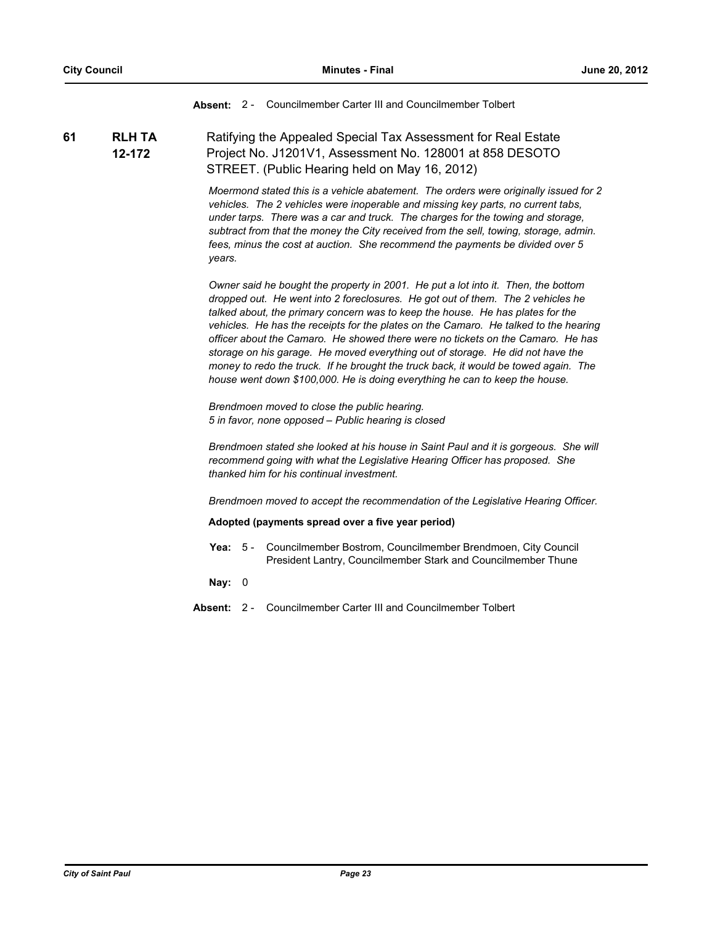**Absent:** 2 - Councilmember Carter III and Councilmember Tolbert

**RLH TA 12-172 61 RLH TA** Ratifying the Appealed Special Tax Assessment for Real Estate Project No. J1201V1, Assessment No. 128001 at 858 DESOTO STREET. (Public Hearing held on May 16, 2012)

> *Moermond stated this is a vehicle abatement. The orders were originally issued for 2 vehicles. The 2 vehicles were inoperable and missing key parts, no current tabs, under tarps. There was a car and truck. The charges for the towing and storage, subtract from that the money the City received from the sell, towing, storage, admin. fees, minus the cost at auction. She recommend the payments be divided over 5 years.*

> *Owner said he bought the property in 2001. He put a lot into it. Then, the bottom dropped out. He went into 2 foreclosures. He got out of them. The 2 vehicles he talked about, the primary concern was to keep the house. He has plates for the vehicles. He has the receipts for the plates on the Camaro. He talked to the hearing officer about the Camaro. He showed there were no tickets on the Camaro. He has storage on his garage. He moved everything out of storage. He did not have the money to redo the truck. If he brought the truck back, it would be towed again. The house went down \$100,000. He is doing everything he can to keep the house.*

*Brendmoen moved to close the public hearing. 5 in favor, none opposed – Public hearing is closed*

*Brendmoen stated she looked at his house in Saint Paul and it is gorgeous. She will recommend going with what the Legislative Hearing Officer has proposed. She thanked him for his continual investment.* 

*Brendmoen moved to accept the recommendation of the Legislative Hearing Officer.*

#### **Adopted (payments spread over a five year period)**

Yea: 5 - Councilmember Bostrom, Councilmember Brendmoen, City Council President Lantry, Councilmember Stark and Councilmember Thune

**Nay:** 0

**Absent:** 2 - Councilmember Carter III and Councilmember Tolbert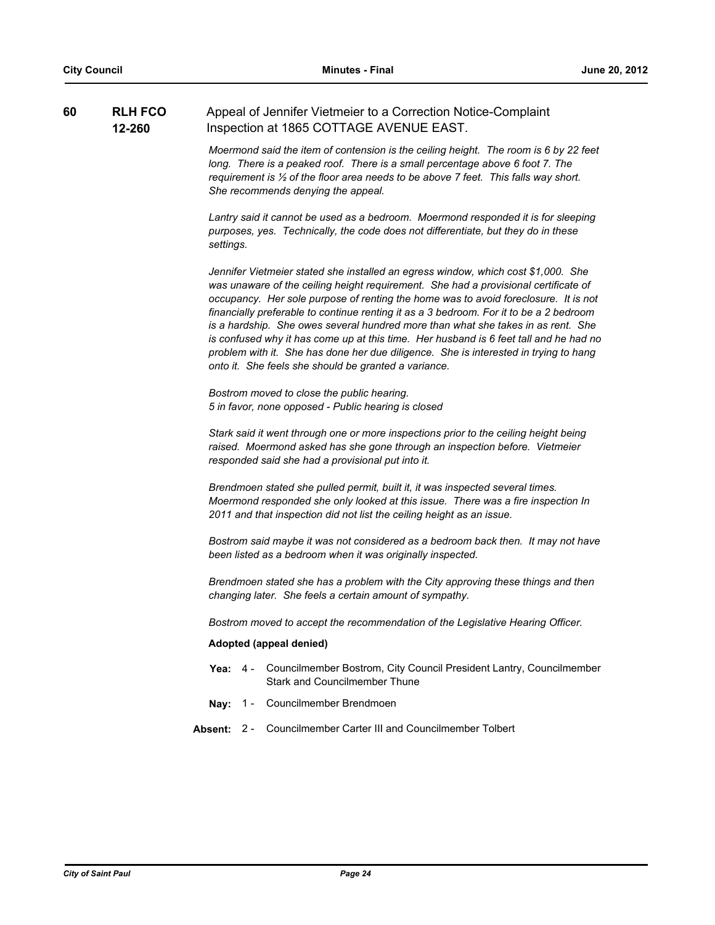| 60 | <b>RLH FCO</b><br>12-260 | Appeal of Jennifer Vietmeier to a Correction Notice-Complaint<br>Inspection at 1865 COTTAGE AVENUE EAST.                                                                                                                                                                                                                                                                                                                                                                                                                                                                                                                                                                               |  |
|----|--------------------------|----------------------------------------------------------------------------------------------------------------------------------------------------------------------------------------------------------------------------------------------------------------------------------------------------------------------------------------------------------------------------------------------------------------------------------------------------------------------------------------------------------------------------------------------------------------------------------------------------------------------------------------------------------------------------------------|--|
|    |                          | Moermond said the item of contension is the ceiling height. The room is 6 by 22 feet<br>long. There is a peaked roof. There is a small percentage above 6 foot 7. The<br>requirement is $\frac{1}{2}$ of the floor area needs to be above 7 feet. This falls way short.<br>She recommends denying the appeal.                                                                                                                                                                                                                                                                                                                                                                          |  |
|    |                          | Lantry said it cannot be used as a bedroom. Moermond responded it is for sleeping<br>purposes, yes. Technically, the code does not differentiate, but they do in these<br>settings.                                                                                                                                                                                                                                                                                                                                                                                                                                                                                                    |  |
|    |                          | Jennifer Vietmeier stated she installed an egress window, which cost \$1,000. She<br>was unaware of the ceiling height requirement. She had a provisional certificate of<br>occupancy. Her sole purpose of renting the home was to avoid foreclosure. It is not<br>financially preferable to continue renting it as a 3 bedroom. For it to be a 2 bedroom<br>is a hardship. She owes several hundred more than what she takes in as rent. She<br>is confused why it has come up at this time. Her husband is 6 feet tall and he had no<br>problem with it. She has done her due diligence. She is interested in trying to hang<br>onto it. She feels she should be granted a variance. |  |
|    |                          | Bostrom moved to close the public hearing.<br>5 in favor, none opposed - Public hearing is closed                                                                                                                                                                                                                                                                                                                                                                                                                                                                                                                                                                                      |  |
|    |                          | Stark said it went through one or more inspections prior to the ceiling height being<br>raised. Moermond asked has she gone through an inspection before. Vietmeier<br>responded said she had a provisional put into it.                                                                                                                                                                                                                                                                                                                                                                                                                                                               |  |
|    |                          | Brendmoen stated she pulled permit, built it, it was inspected several times.<br>Moermond responded she only looked at this issue. There was a fire inspection In<br>2011 and that inspection did not list the ceiling height as an issue.                                                                                                                                                                                                                                                                                                                                                                                                                                             |  |
|    |                          | Bostrom said maybe it was not considered as a bedroom back then. It may not have<br>been listed as a bedroom when it was originally inspected.                                                                                                                                                                                                                                                                                                                                                                                                                                                                                                                                         |  |
|    |                          | Brendmoen stated she has a problem with the City approving these things and then<br>changing later. She feels a certain amount of sympathy.                                                                                                                                                                                                                                                                                                                                                                                                                                                                                                                                            |  |
|    |                          | Bostrom moved to accept the recommendation of the Legislative Hearing Officer.                                                                                                                                                                                                                                                                                                                                                                                                                                                                                                                                                                                                         |  |
|    |                          | Adopted (appeal denied)                                                                                                                                                                                                                                                                                                                                                                                                                                                                                                                                                                                                                                                                |  |
|    |                          | Councilmember Bostrom, City Council President Lantry, Councilmember<br>Yea:<br>4 -<br><b>Stark and Councilmember Thune</b>                                                                                                                                                                                                                                                                                                                                                                                                                                                                                                                                                             |  |
|    |                          | Nay: 1 - Councilmember Brendmoen                                                                                                                                                                                                                                                                                                                                                                                                                                                                                                                                                                                                                                                       |  |
|    |                          | Absent: 2 - Councilmember Carter III and Councilmember Tolbert                                                                                                                                                                                                                                                                                                                                                                                                                                                                                                                                                                                                                         |  |
|    |                          |                                                                                                                                                                                                                                                                                                                                                                                                                                                                                                                                                                                                                                                                                        |  |
|    |                          |                                                                                                                                                                                                                                                                                                                                                                                                                                                                                                                                                                                                                                                                                        |  |
|    |                          |                                                                                                                                                                                                                                                                                                                                                                                                                                                                                                                                                                                                                                                                                        |  |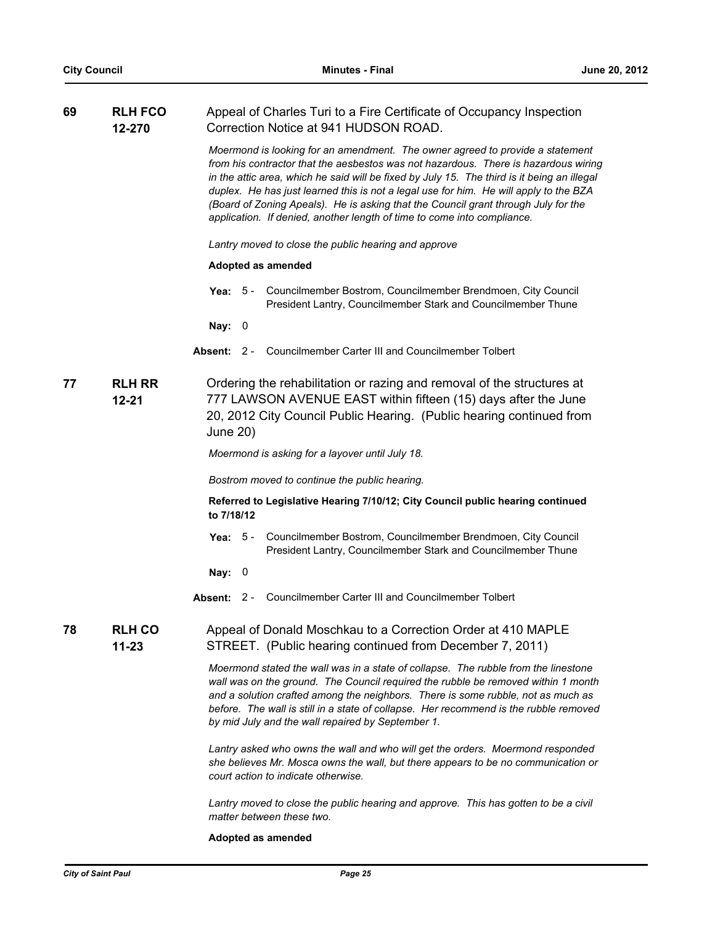| 69 | <b>RLH FCO</b><br>12-270   | Appeal of Charles Turi to a Fire Certificate of Occupancy Inspection<br>Correction Notice at 941 HUDSON ROAD.                                                                                                                                                                                                                                                                                                                                                                                                                 |
|----|----------------------------|-------------------------------------------------------------------------------------------------------------------------------------------------------------------------------------------------------------------------------------------------------------------------------------------------------------------------------------------------------------------------------------------------------------------------------------------------------------------------------------------------------------------------------|
|    |                            | Moermond is looking for an amendment. The owner agreed to provide a statement<br>from his contractor that the aesbestos was not hazardous. There is hazardous wiring<br>in the attic area, which he said will be fixed by July 15. The third is it being an illegal<br>duplex. He has just learned this is not a legal use for him. He will apply to the BZA<br>(Board of Zoning Apeals). He is asking that the Council grant through July for the<br>application. If denied, another length of time to come into compliance. |
|    |                            | Lantry moved to close the public hearing and approve                                                                                                                                                                                                                                                                                                                                                                                                                                                                          |
|    |                            | Adopted as amended                                                                                                                                                                                                                                                                                                                                                                                                                                                                                                            |
|    |                            | Yea: 5 - Councilmember Bostrom, Councilmember Brendmoen, City Council<br>President Lantry, Councilmember Stark and Councilmember Thune                                                                                                                                                                                                                                                                                                                                                                                        |
|    |                            | Nay: $0$                                                                                                                                                                                                                                                                                                                                                                                                                                                                                                                      |
|    |                            | Absent: 2 - Councilmember Carter III and Councilmember Tolbert                                                                                                                                                                                                                                                                                                                                                                                                                                                                |
| 77 | <b>RLH RR</b><br>$12 - 21$ | Ordering the rehabilitation or razing and removal of the structures at<br>777 LAWSON AVENUE EAST within fifteen (15) days after the June<br>20, 2012 City Council Public Hearing. (Public hearing continued from<br><b>June 20)</b>                                                                                                                                                                                                                                                                                           |
|    |                            | Moermond is asking for a layover until July 18.                                                                                                                                                                                                                                                                                                                                                                                                                                                                               |
|    |                            | Bostrom moved to continue the public hearing.                                                                                                                                                                                                                                                                                                                                                                                                                                                                                 |
|    |                            | Referred to Legislative Hearing 7/10/12; City Council public hearing continued<br>to 7/18/12                                                                                                                                                                                                                                                                                                                                                                                                                                  |
|    |                            | Councilmember Bostrom, Councilmember Brendmoen, City Council<br>Yea: $5-$<br>President Lantry, Councilmember Stark and Councilmember Thune                                                                                                                                                                                                                                                                                                                                                                                    |
|    |                            | Nay: $0$                                                                                                                                                                                                                                                                                                                                                                                                                                                                                                                      |
|    |                            | <b>Absent: 2 - Councilmember Carter III and Councilmember Tolbert</b>                                                                                                                                                                                                                                                                                                                                                                                                                                                         |
| 78 | <b>RLH CO</b><br>$11 - 23$ | Appeal of Donald Moschkau to a Correction Order at 410 MAPLE<br>STREET. (Public hearing continued from December 7, 2011)                                                                                                                                                                                                                                                                                                                                                                                                      |
|    |                            | Moermond stated the wall was in a state of collapse. The rubble from the linestone<br>wall was on the ground. The Council required the rubble be removed within 1 month<br>and a solution crafted among the neighbors. There is some rubble, not as much as<br>before. The wall is still in a state of collapse. Her recommend is the rubble removed<br>by mid July and the wall repaired by September 1.                                                                                                                     |
|    |                            | Lantry asked who owns the wall and who will get the orders. Moermond responded<br>she believes Mr. Mosca owns the wall, but there appears to be no communication or<br>court action to indicate otherwise.                                                                                                                                                                                                                                                                                                                    |
|    |                            | Lantry moved to close the public hearing and approve. This has gotten to be a civil<br>matter between these two.                                                                                                                                                                                                                                                                                                                                                                                                              |

**Adopted as amended**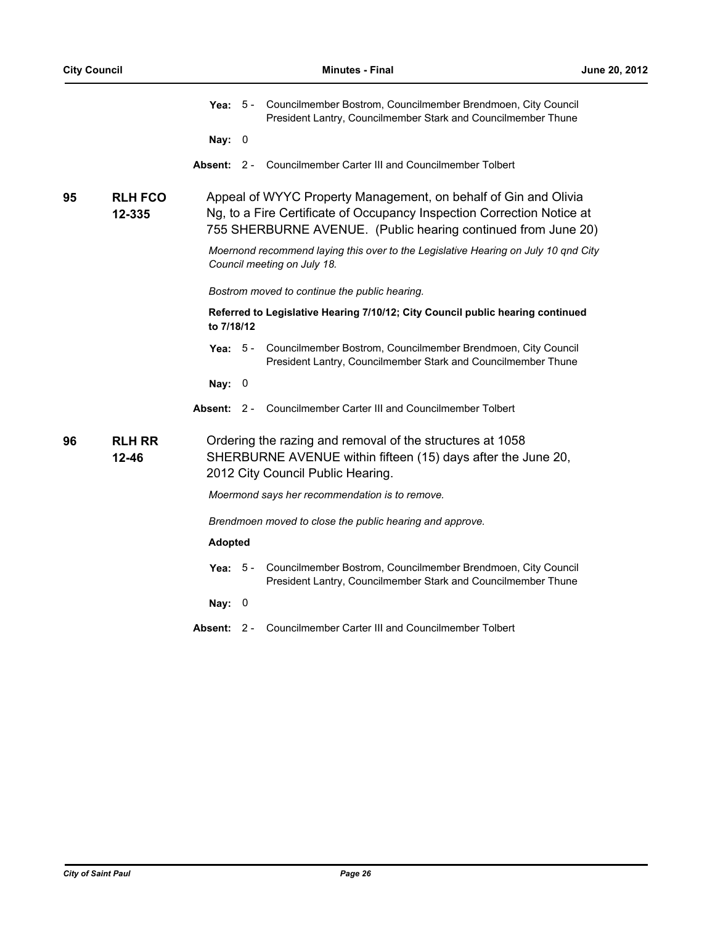|    |                            | Yea:           | 5 - Councilmember Bostrom, Councilmember Brendmoen, City Council<br>President Lantry, Councilmember Stark and Councilmember Thune                                                                          |
|----|----------------------------|----------------|------------------------------------------------------------------------------------------------------------------------------------------------------------------------------------------------------------|
|    |                            | Nay: 0         |                                                                                                                                                                                                            |
|    |                            | Absent: 2 -    | Councilmember Carter III and Councilmember Tolbert                                                                                                                                                         |
| 95 | <b>RLH FCO</b><br>12-335   |                | Appeal of WYYC Property Management, on behalf of Gin and Olivia<br>Ng, to a Fire Certificate of Occupancy Inspection Correction Notice at<br>755 SHERBURNE AVENUE. (Public hearing continued from June 20) |
|    |                            |                | Moernond recommend laying this over to the Legislative Hearing on July 10 qnd City<br>Council meeting on July 18.                                                                                          |
|    |                            |                | Bostrom moved to continue the public hearing.                                                                                                                                                              |
|    |                            | to 7/18/12     | Referred to Legislative Hearing 7/10/12; City Council public hearing continued                                                                                                                             |
|    |                            | Yea: $5 -$     | Councilmember Bostrom, Councilmember Brendmoen, City Council<br>President Lantry, Councilmember Stark and Councilmember Thune                                                                              |
|    |                            | Nay: $0$       |                                                                                                                                                                                                            |
|    |                            |                | <b>Absent: 2 - Councilmember Carter III and Councilmember Tolbert</b>                                                                                                                                      |
| 96 | <b>RLH RR</b><br>$12 - 46$ |                | Ordering the razing and removal of the structures at 1058<br>SHERBURNE AVENUE within fifteen (15) days after the June 20,<br>2012 City Council Public Hearing.                                             |
|    |                            |                | Moermond says her recommendation is to remove.                                                                                                                                                             |
|    |                            |                | Brendmoen moved to close the public hearing and approve.                                                                                                                                                   |
|    |                            | <b>Adopted</b> |                                                                                                                                                                                                            |
|    |                            | Yea: $5 -$     | Councilmember Bostrom, Councilmember Brendmoen, City Council<br>President Lantry, Councilmember Stark and Councilmember Thune                                                                              |
|    |                            | Nay: $0$       |                                                                                                                                                                                                            |
|    |                            | Absent: 2 -    | Councilmember Carter III and Councilmember Tolbert                                                                                                                                                         |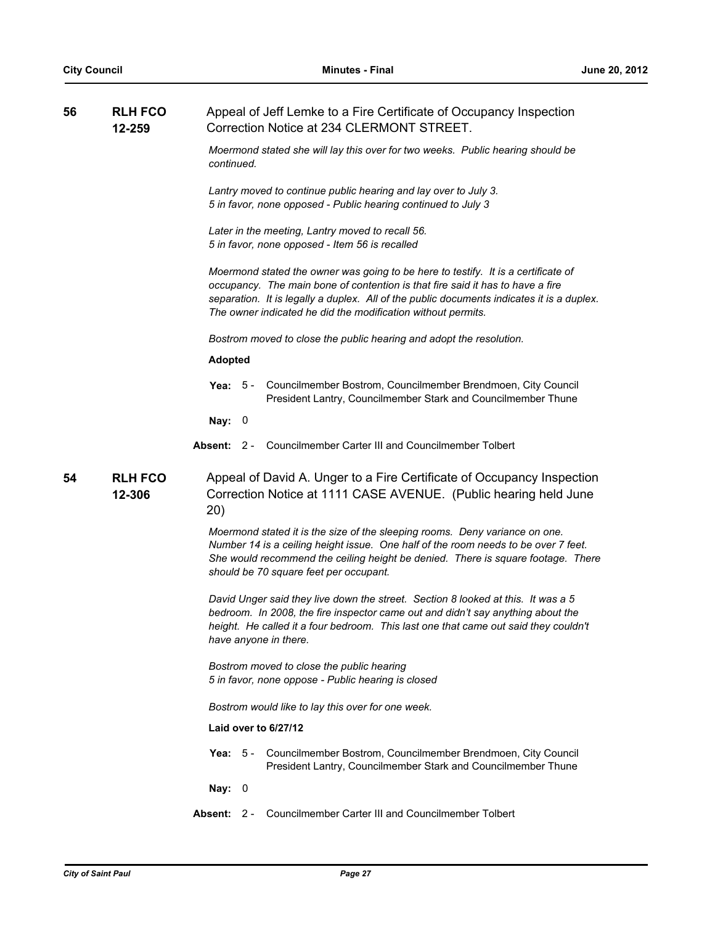| 56 | <b>RLH FCO</b><br>12-259 | Appeal of Jeff Lemke to a Fire Certificate of Occupancy Inspection<br>Correction Notice at 234 CLERMONT STREET.                                                                                                                                                                                                                  |  |  |  |  |  |
|----|--------------------------|----------------------------------------------------------------------------------------------------------------------------------------------------------------------------------------------------------------------------------------------------------------------------------------------------------------------------------|--|--|--|--|--|
|    |                          | Moermond stated she will lay this over for two weeks. Public hearing should be<br>continued.                                                                                                                                                                                                                                     |  |  |  |  |  |
|    |                          | Lantry moved to continue public hearing and lay over to July 3.<br>5 in favor, none opposed - Public hearing continued to July 3                                                                                                                                                                                                 |  |  |  |  |  |
|    |                          | Later in the meeting, Lantry moved to recall 56.<br>5 in favor, none opposed - Item 56 is recalled                                                                                                                                                                                                                               |  |  |  |  |  |
|    |                          | Moermond stated the owner was going to be here to testify. It is a certificate of<br>occupancy. The main bone of contention is that fire said it has to have a fire<br>separation. It is legally a duplex. All of the public documents indicates it is a duplex.<br>The owner indicated he did the modification without permits. |  |  |  |  |  |
|    |                          | Bostrom moved to close the public hearing and adopt the resolution.                                                                                                                                                                                                                                                              |  |  |  |  |  |
|    |                          | <b>Adopted</b>                                                                                                                                                                                                                                                                                                                   |  |  |  |  |  |
|    |                          | Councilmember Bostrom, Councilmember Brendmoen, City Council<br>Yea: $5 -$<br>President Lantry, Councilmember Stark and Councilmember Thune                                                                                                                                                                                      |  |  |  |  |  |
|    |                          | Nay: $0$                                                                                                                                                                                                                                                                                                                         |  |  |  |  |  |
|    |                          | <b>Absent: 2 - Councilmember Carter III and Councilmember Tolbert</b>                                                                                                                                                                                                                                                            |  |  |  |  |  |
| 54 | <b>RLH FCO</b><br>12-306 | Appeal of David A. Unger to a Fire Certificate of Occupancy Inspection<br>Correction Notice at 1111 CASE AVENUE. (Public hearing held June<br>20)                                                                                                                                                                                |  |  |  |  |  |
|    |                          | Moermond stated it is the size of the sleeping rooms. Deny variance on one.<br>Number 14 is a ceiling height issue. One half of the room needs to be over 7 feet.<br>She would recommend the ceiling height be denied. There is square footage. There<br>should be 70 square feet per occupant.                                  |  |  |  |  |  |
|    |                          | David Unger said they live down the street. Section 8 looked at this. It was a 5<br>bedroom. In 2008, the fire inspector came out and didn't say anything about the<br>height. He called it a four bedroom. This last one that came out said they couldn't<br>have anyone in there.                                              |  |  |  |  |  |
|    |                          | Bostrom moved to close the public hearing<br>5 in favor, none oppose - Public hearing is closed                                                                                                                                                                                                                                  |  |  |  |  |  |
|    |                          | Bostrom would like to lay this over for one week.                                                                                                                                                                                                                                                                                |  |  |  |  |  |
|    |                          | Laid over to 6/27/12                                                                                                                                                                                                                                                                                                             |  |  |  |  |  |
|    |                          | $5 -$<br>Councilmember Bostrom, Councilmember Brendmoen, City Council<br>Yea:<br>President Lantry, Councilmember Stark and Councilmember Thune                                                                                                                                                                                   |  |  |  |  |  |
|    |                          | Nay: $0$                                                                                                                                                                                                                                                                                                                         |  |  |  |  |  |
|    |                          | Councilmember Carter III and Councilmember Tolbert<br>Absent:<br>$2 -$                                                                                                                                                                                                                                                           |  |  |  |  |  |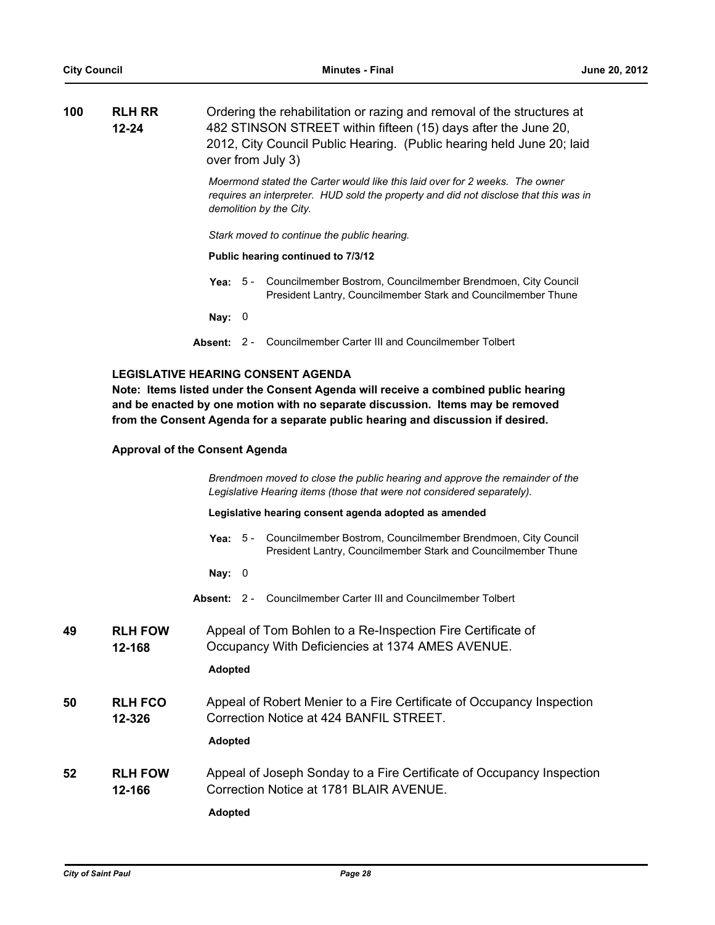| 100 | <b>RLH RR</b> | Ordering the rehabilitation or razing and removal of the structures at                     |
|-----|---------------|--------------------------------------------------------------------------------------------|
|     | $12 - 24$     | 482 STINSON STREET within fifteen (15) days after the June 20,                             |
|     |               | 2012, City Council Public Hearing. (Public hearing held June 20; laid<br>over from July 3) |
|     |               | Messessed stated the Caster would like this laid avenue of weake The sweep                 |

*Moermond stated the Carter would like this laid over for 2 weeks. The owner requires an interpreter. HUD sold the property and did not disclose that this was in demolition by the City.*

*Stark moved to continue the public hearing.*

#### **Public hearing continued to 7/3/12**

Yea: 5 - Councilmember Bostrom, Councilmember Brendmoen, City Council President Lantry, Councilmember Stark and Councilmember Thune

**Nay:** 0

**Absent:** 2 - Councilmember Carter III and Councilmember Tolbert

### **LEGISLATIVE HEARING CONSENT AGENDA**

**Note: Items listed under the Consent Agenda will receive a combined public hearing and be enacted by one motion with no separate discussion. Items may be removed from the Consent Agenda for a separate public hearing and discussion if desired.**

### **Approval of the Consent Agenda**

*Brendmoen moved to close the public hearing and approve the remainder of the Legislative Hearing items (those that were not considered separately).*

### **Legislative hearing consent agenda adopted as amended**

- Yea: 5 Councilmember Bostrom, Councilmember Brendmoen, City Council President Lantry, Councilmember Stark and Councilmember Thune
- **Nay:** 0
- **Absent:** 2 Councilmember Carter III and Councilmember Tolbert
- **RLH FOW 12-168 49** Appeal of Tom Bohlen to a Re-Inspection Fire Certificate of Occupancy With Deficiencies at 1374 AMES AVENUE.

### **Adopted**

**RLH FCO 12-326 50 RLH FCO** Appeal of Robert Menier to a Fire Certificate of Occupancy Inspection Correction Notice at 424 BANFIL STREET.

# **Adopted**

**RLH FOW 12-166 52 RLH FOW** Appeal of Joseph Sonday to a Fire Certificate of Occupancy Inspection Correction Notice at 1781 BLAIR AVENUE.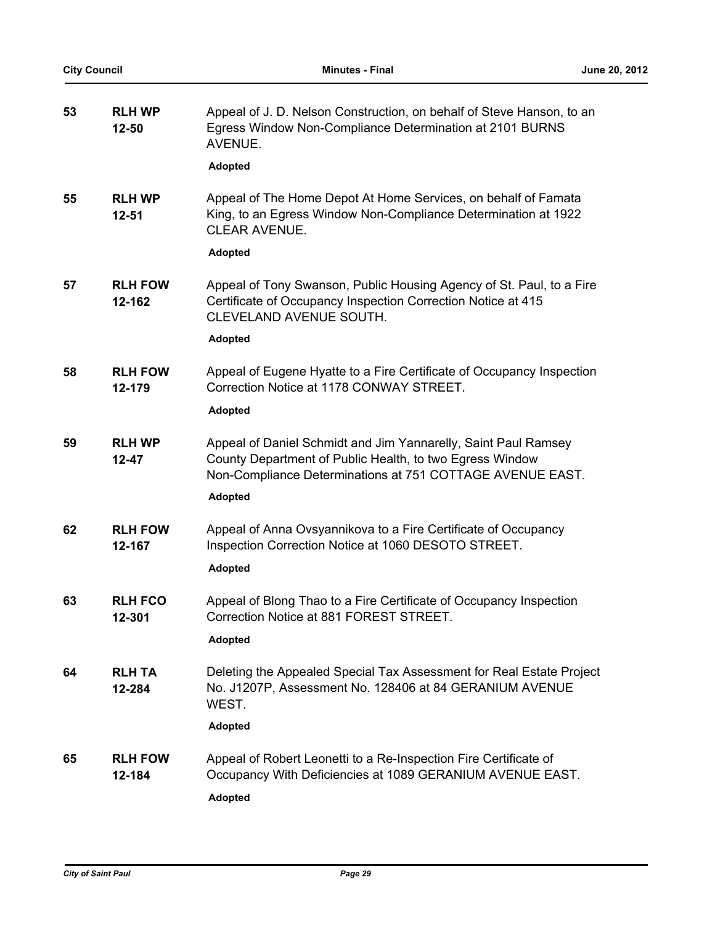| 53 | <b>RLH WP</b><br>12-50     | Appeal of J. D. Nelson Construction, on behalf of Steve Hanson, to an<br>Egress Window Non-Compliance Determination at 2101 BURNS<br>AVENUE.<br><b>Adopted</b>                          |
|----|----------------------------|-----------------------------------------------------------------------------------------------------------------------------------------------------------------------------------------|
| 55 | <b>RLH WP</b><br>$12 - 51$ | Appeal of The Home Depot At Home Services, on behalf of Famata<br>King, to an Egress Window Non-Compliance Determination at 1922<br><b>CLEAR AVENUE.</b>                                |
|    |                            | Adopted                                                                                                                                                                                 |
| 57 | <b>RLH FOW</b><br>12-162   | Appeal of Tony Swanson, Public Housing Agency of St. Paul, to a Fire<br>Certificate of Occupancy Inspection Correction Notice at 415<br>CLEVELAND AVENUE SOUTH.                         |
|    |                            | <b>Adopted</b>                                                                                                                                                                          |
| 58 | <b>RLH FOW</b><br>12-179   | Appeal of Eugene Hyatte to a Fire Certificate of Occupancy Inspection<br>Correction Notice at 1178 CONWAY STREET.                                                                       |
|    |                            | <b>Adopted</b>                                                                                                                                                                          |
|    |                            |                                                                                                                                                                                         |
| 59 | <b>RLH WP</b><br>$12 - 47$ | Appeal of Daniel Schmidt and Jim Yannarelly, Saint Paul Ramsey<br>County Department of Public Health, to two Egress Window<br>Non-Compliance Determinations at 751 COTTAGE AVENUE EAST. |
|    |                            | <b>Adopted</b>                                                                                                                                                                          |
|    |                            |                                                                                                                                                                                         |
| 62 | <b>RLH FOW</b><br>12-167   | Appeal of Anna Ovsyannikova to a Fire Certificate of Occupancy<br>Inspection Correction Notice at 1060 DESOTO STREET.                                                                   |
|    |                            | <b>Adopted</b>                                                                                                                                                                          |
| 63 | <b>RLH FCO</b><br>12-301   | Appeal of Blong Thao to a Fire Certificate of Occupancy Inspection<br>Correction Notice at 881 FOREST STREET.                                                                           |
|    |                            | <b>Adopted</b>                                                                                                                                                                          |
| 64 | <b>RLH TA</b>              | Deleting the Appealed Special Tax Assessment for Real Estate Project                                                                                                                    |
|    | 12-284                     | No. J1207P, Assessment No. 128406 at 84 GERANIUM AVENUE<br>WEST.                                                                                                                        |
|    |                            | <b>Adopted</b>                                                                                                                                                                          |
| 65 |                            | Appeal of Robert Leonetti to a Re-Inspection Fire Certificate of                                                                                                                        |
|    | <b>RLH FOW</b><br>12-184   | Occupancy With Deficiencies at 1089 GERANIUM AVENUE EAST.                                                                                                                               |
|    |                            | <b>Adopted</b>                                                                                                                                                                          |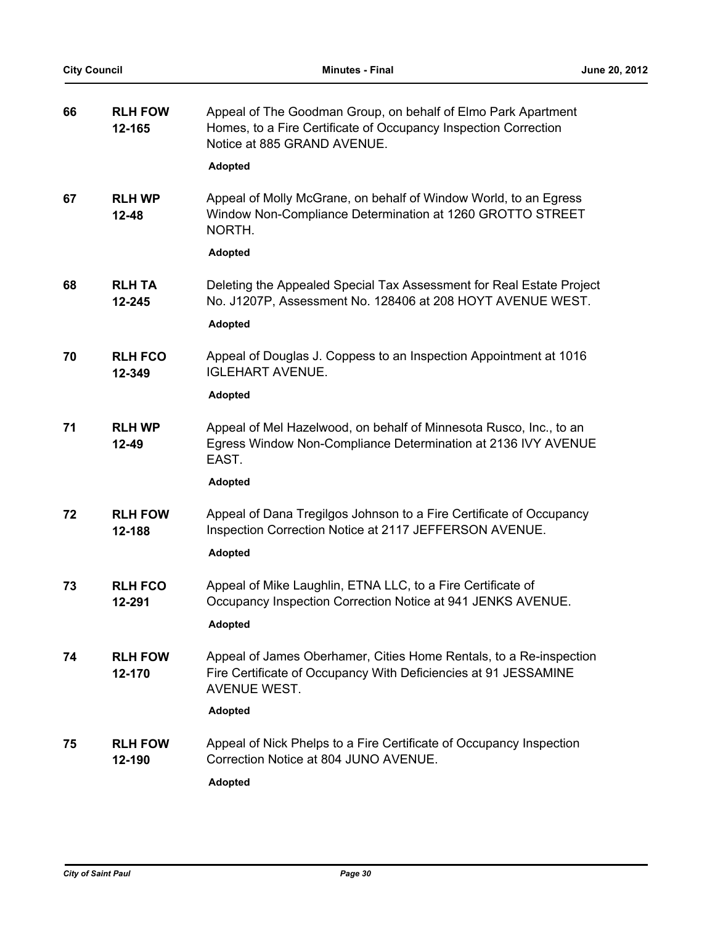| 66 | <b>RLH FOW</b><br>12-165   | Appeal of The Goodman Group, on behalf of Elmo Park Apartment<br>Homes, to a Fire Certificate of Occupancy Inspection Correction<br>Notice at 885 GRAND AVENUE.<br><b>Adopted</b> |
|----|----------------------------|-----------------------------------------------------------------------------------------------------------------------------------------------------------------------------------|
| 67 | <b>RLH WP</b><br>$12 - 48$ | Appeal of Molly McGrane, on behalf of Window World, to an Egress<br>Window Non-Compliance Determination at 1260 GROTTO STREET<br>NORTH.                                           |
|    |                            | Adopted                                                                                                                                                                           |
| 68 | <b>RLH TA</b><br>12-245    | Deleting the Appealed Special Tax Assessment for Real Estate Project<br>No. J1207P, Assessment No. 128406 at 208 HOYT AVENUE WEST.                                                |
|    |                            | <b>Adopted</b>                                                                                                                                                                    |
| 70 | <b>RLH FCO</b><br>12-349   | Appeal of Douglas J. Coppess to an Inspection Appointment at 1016<br><b>IGLEHART AVENUE.</b>                                                                                      |
|    |                            | <b>Adopted</b>                                                                                                                                                                    |
| 71 | <b>RLH WP</b><br>$12 - 49$ | Appeal of Mel Hazelwood, on behalf of Minnesota Rusco, Inc., to an<br>Egress Window Non-Compliance Determination at 2136 IVY AVENUE<br>EAST.                                      |
|    |                            | <b>Adopted</b>                                                                                                                                                                    |
| 72 | <b>RLH FOW</b><br>12-188   | Appeal of Dana Tregilgos Johnson to a Fire Certificate of Occupancy<br>Inspection Correction Notice at 2117 JEFFERSON AVENUE.                                                     |
|    |                            | <b>Adopted</b>                                                                                                                                                                    |
| 73 | <b>RLH FCO</b><br>12-291   | Appeal of Mike Laughlin, ETNA LLC, to a Fire Certificate of<br>Occupancy Inspection Correction Notice at 941 JENKS AVENUE.                                                        |
|    |                            | <b>Adopted</b>                                                                                                                                                                    |
| 74 | <b>RLH FOW</b><br>12-170   | Appeal of James Oberhamer, Cities Home Rentals, to a Re-inspection<br>Fire Certificate of Occupancy With Deficiencies at 91 JESSAMINE<br><b>AVENUE WEST.</b>                      |
|    |                            | Adopted                                                                                                                                                                           |
| 75 | <b>RLH FOW</b><br>12-190   | Appeal of Nick Phelps to a Fire Certificate of Occupancy Inspection<br>Correction Notice at 804 JUNO AVENUE.                                                                      |
|    |                            | <b>Adopted</b>                                                                                                                                                                    |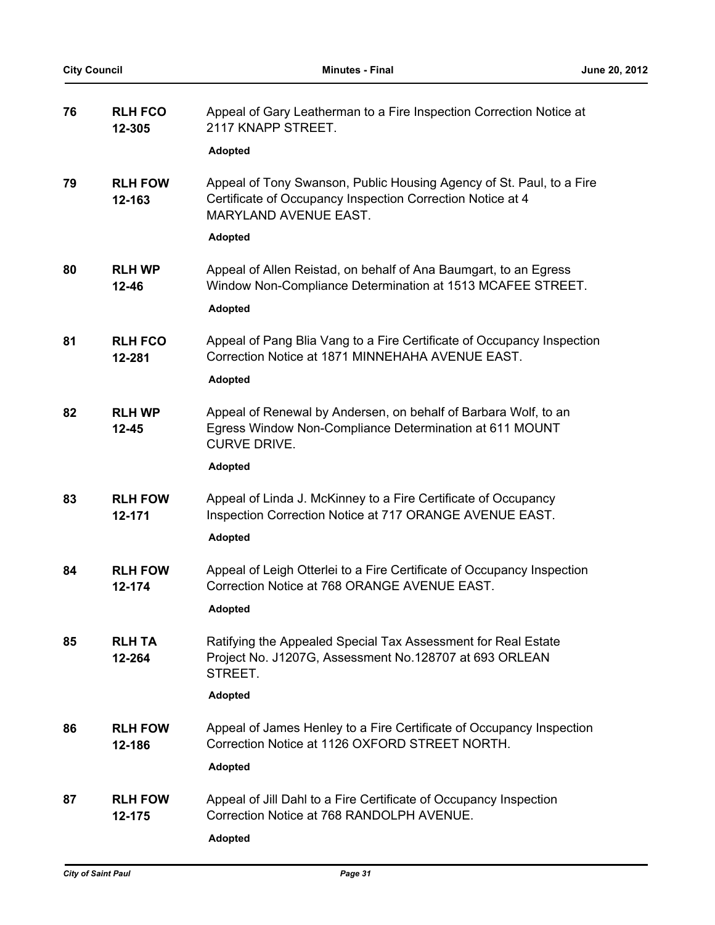| 76 | <b>RLH FCO</b><br>12-305   | Appeal of Gary Leatherman to a Fire Inspection Correction Notice at<br>2117 KNAPP STREET.                                                                          |
|----|----------------------------|--------------------------------------------------------------------------------------------------------------------------------------------------------------------|
|    |                            | <b>Adopted</b>                                                                                                                                                     |
| 79 | <b>RLH FOW</b><br>12-163   | Appeal of Tony Swanson, Public Housing Agency of St. Paul, to a Fire<br>Certificate of Occupancy Inspection Correction Notice at 4<br><b>MARYLAND AVENUE EAST.</b> |
|    |                            | <b>Adopted</b>                                                                                                                                                     |
| 80 | <b>RLH WP</b><br>$12 - 46$ | Appeal of Allen Reistad, on behalf of Ana Baumgart, to an Egress<br>Window Non-Compliance Determination at 1513 MCAFEE STREET.                                     |
|    |                            | <b>Adopted</b>                                                                                                                                                     |
| 81 | <b>RLH FCO</b><br>12-281   | Appeal of Pang Blia Vang to a Fire Certificate of Occupancy Inspection<br>Correction Notice at 1871 MINNEHAHA AVENUE EAST.                                         |
|    |                            | <b>Adopted</b>                                                                                                                                                     |
| 82 | <b>RLH WP</b><br>$12 - 45$ | Appeal of Renewal by Andersen, on behalf of Barbara Wolf, to an<br>Egress Window Non-Compliance Determination at 611 MOUNT<br><b>CURVE DRIVE.</b>                  |
|    |                            | <b>Adopted</b>                                                                                                                                                     |
| 83 | <b>RLH FOW</b><br>12-171   | Appeal of Linda J. McKinney to a Fire Certificate of Occupancy<br>Inspection Correction Notice at 717 ORANGE AVENUE EAST.                                          |
|    |                            | <b>Adopted</b>                                                                                                                                                     |
| 84 | <b>RLH FOW</b><br>12-174   | Appeal of Leigh Otterlei to a Fire Certificate of Occupancy Inspection<br>Correction Notice at 768 ORANGE AVENUE EAST.                                             |
|    |                            | <b>Adopted</b>                                                                                                                                                     |
| 85 | <b>RLH TA</b><br>12-264    | Ratifying the Appealed Special Tax Assessment for Real Estate<br>Project No. J1207G, Assessment No.128707 at 693 ORLEAN<br>STREET.                                 |
|    |                            | <b>Adopted</b>                                                                                                                                                     |
| 86 | <b>RLH FOW</b><br>12-186   | Appeal of James Henley to a Fire Certificate of Occupancy Inspection<br>Correction Notice at 1126 OXFORD STREET NORTH.                                             |
|    |                            | <b>Adopted</b>                                                                                                                                                     |
| 87 | <b>RLH FOW</b><br>12-175   | Appeal of Jill Dahl to a Fire Certificate of Occupancy Inspection<br>Correction Notice at 768 RANDOLPH AVENUE.                                                     |
|    |                            | <b>Adopted</b>                                                                                                                                                     |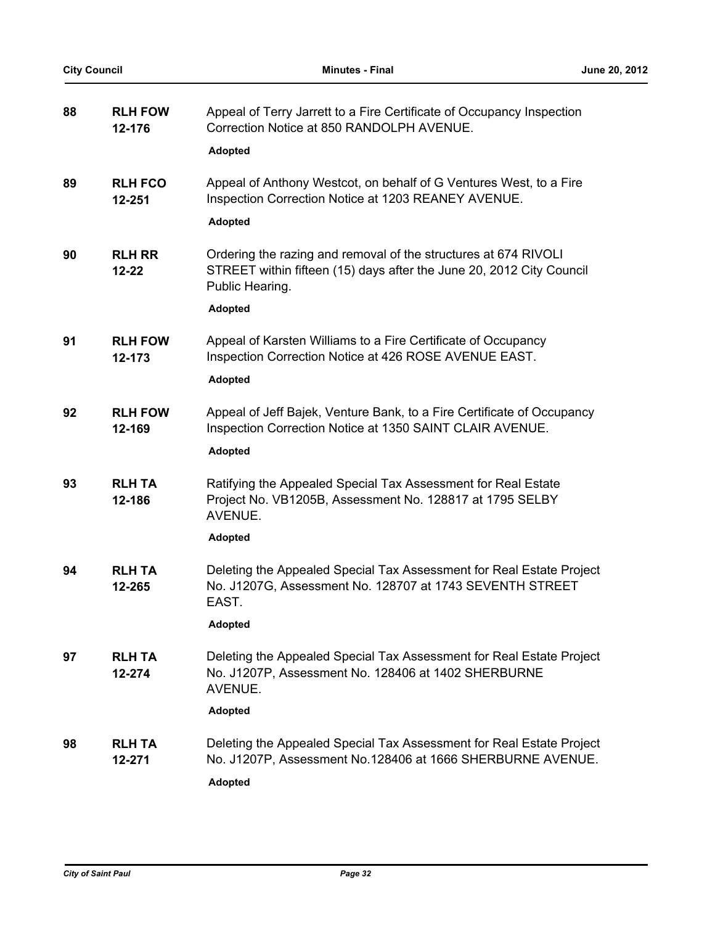| <b>City Council</b> |                            | <b>Minutes - Final</b>                                                                                                                                     | June 20, 2012 |
|---------------------|----------------------------|------------------------------------------------------------------------------------------------------------------------------------------------------------|---------------|
| 88                  | <b>RLH FOW</b><br>12-176   | Appeal of Terry Jarrett to a Fire Certificate of Occupancy Inspection<br>Correction Notice at 850 RANDOLPH AVENUE.                                         |               |
|                     |                            | Adopted                                                                                                                                                    |               |
| 89                  | <b>RLH FCO</b><br>12-251   | Appeal of Anthony Westcot, on behalf of G Ventures West, to a Fire<br>Inspection Correction Notice at 1203 REANEY AVENUE.                                  |               |
|                     |                            | Adopted                                                                                                                                                    |               |
| 90                  | <b>RLH RR</b><br>$12 - 22$ | Ordering the razing and removal of the structures at 674 RIVOLI<br>STREET within fifteen (15) days after the June 20, 2012 City Council<br>Public Hearing. |               |
|                     |                            | Adopted                                                                                                                                                    |               |
| 91                  | <b>RLH FOW</b><br>12-173   | Appeal of Karsten Williams to a Fire Certificate of Occupancy<br>Inspection Correction Notice at 426 ROSE AVENUE EAST.                                     |               |
|                     |                            | <b>Adopted</b>                                                                                                                                             |               |
| 92                  | <b>RLH FOW</b><br>12-169   | Appeal of Jeff Bajek, Venture Bank, to a Fire Certificate of Occupancy<br>Inspection Correction Notice at 1350 SAINT CLAIR AVENUE.                         |               |
|                     |                            | <b>Adopted</b>                                                                                                                                             |               |
| 93                  | <b>RLH TA</b><br>12-186    | Ratifying the Appealed Special Tax Assessment for Real Estate<br>Project No. VB1205B, Assessment No. 128817 at 1795 SELBY<br>AVENUE.                       |               |
|                     |                            | <b>Adopted</b>                                                                                                                                             |               |
| 94                  | <b>RLH TA</b><br>12-265    | Deleting the Appealed Special Tax Assessment for Real Estate Project<br>No. J1207G, Assessment No. 128707 at 1743 SEVENTH STREET<br>EAST.                  |               |
|                     |                            | <b>Adopted</b>                                                                                                                                             |               |
| 97                  | <b>RLH TA</b><br>12-274    | Deleting the Appealed Special Tax Assessment for Real Estate Project<br>No. J1207P, Assessment No. 128406 at 1402 SHERBURNE<br>AVENUE.                     |               |
|                     |                            | <b>Adopted</b>                                                                                                                                             |               |
| 98                  | <b>RLH TA</b><br>12-271    | Deleting the Appealed Special Tax Assessment for Real Estate Project<br>No. J1207P, Assessment No.128406 at 1666 SHERBURNE AVENUE.                         |               |
|                     |                            | <b>Adopted</b>                                                                                                                                             |               |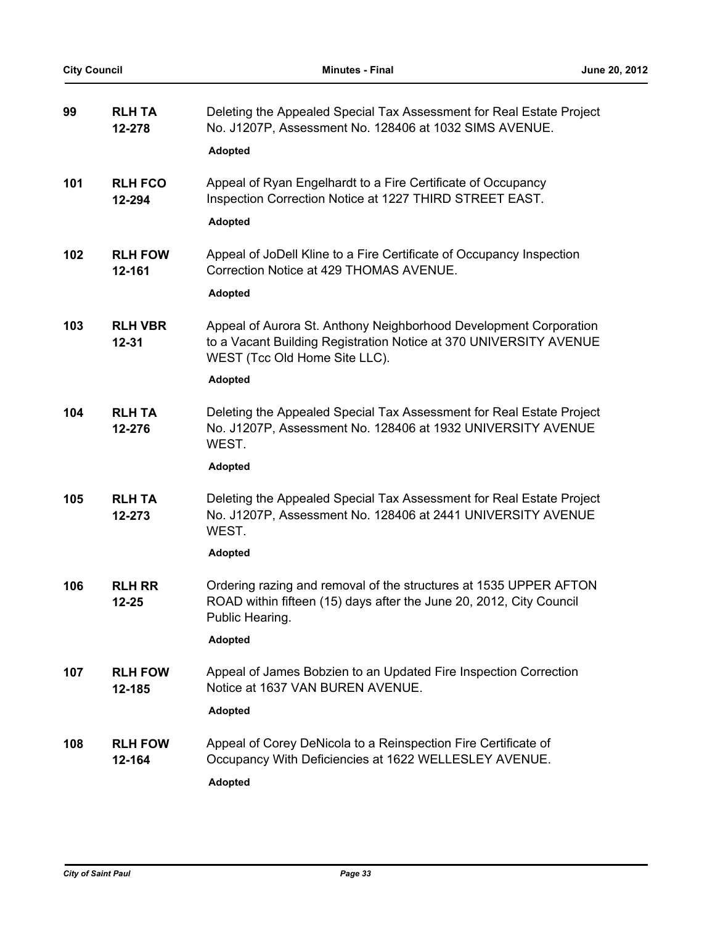| <b>City Council</b> |                             | <b>Minutes - Final</b>                                                                                                                                                  | June 20, 2012 |
|---------------------|-----------------------------|-------------------------------------------------------------------------------------------------------------------------------------------------------------------------|---------------|
| 99                  | <b>RLH TA</b><br>12-278     | Deleting the Appealed Special Tax Assessment for Real Estate Project<br>No. J1207P, Assessment No. 128406 at 1032 SIMS AVENUE.                                          |               |
|                     |                             | <b>Adopted</b>                                                                                                                                                          |               |
| 101                 | <b>RLH FCO</b><br>12-294    | Appeal of Ryan Engelhardt to a Fire Certificate of Occupancy<br>Inspection Correction Notice at 1227 THIRD STREET EAST.                                                 |               |
|                     |                             | Adopted                                                                                                                                                                 |               |
| 102                 | <b>RLH FOW</b><br>12-161    | Appeal of JoDell Kline to a Fire Certificate of Occupancy Inspection<br>Correction Notice at 429 THOMAS AVENUE.                                                         |               |
|                     |                             | <b>Adopted</b>                                                                                                                                                          |               |
| 103                 | <b>RLH VBR</b><br>$12 - 31$ | Appeal of Aurora St. Anthony Neighborhood Development Corporation<br>to a Vacant Building Registration Notice at 370 UNIVERSITY AVENUE<br>WEST (Tcc Old Home Site LLC). |               |
|                     |                             | <b>Adopted</b>                                                                                                                                                          |               |
| 104                 | <b>RLH TA</b><br>12-276     | Deleting the Appealed Special Tax Assessment for Real Estate Project<br>No. J1207P, Assessment No. 128406 at 1932 UNIVERSITY AVENUE<br>WEST.                            |               |
|                     |                             | <b>Adopted</b>                                                                                                                                                          |               |
| 105                 | <b>RLH TA</b><br>12-273     | Deleting the Appealed Special Tax Assessment for Real Estate Project<br>No. J1207P, Assessment No. 128406 at 2441 UNIVERSITY AVENUE<br>WEST.                            |               |
|                     |                             | <b>Adopted</b>                                                                                                                                                          |               |
| 106                 | <b>RLH RR</b><br>$12 - 25$  | Ordering razing and removal of the structures at 1535 UPPER AFTON<br>ROAD within fifteen (15) days after the June 20, 2012, City Council<br>Public Hearing.             |               |
|                     |                             | Adopted                                                                                                                                                                 |               |
| 107                 | <b>RLH FOW</b><br>12-185    | Appeal of James Bobzien to an Updated Fire Inspection Correction<br>Notice at 1637 VAN BUREN AVENUE.                                                                    |               |
|                     |                             | <b>Adopted</b>                                                                                                                                                          |               |
| 108                 | <b>RLH FOW</b><br>12-164    | Appeal of Corey DeNicola to a Reinspection Fire Certificate of<br>Occupancy With Deficiencies at 1622 WELLESLEY AVENUE.                                                 |               |
|                     |                             | <b>Adopted</b>                                                                                                                                                          |               |